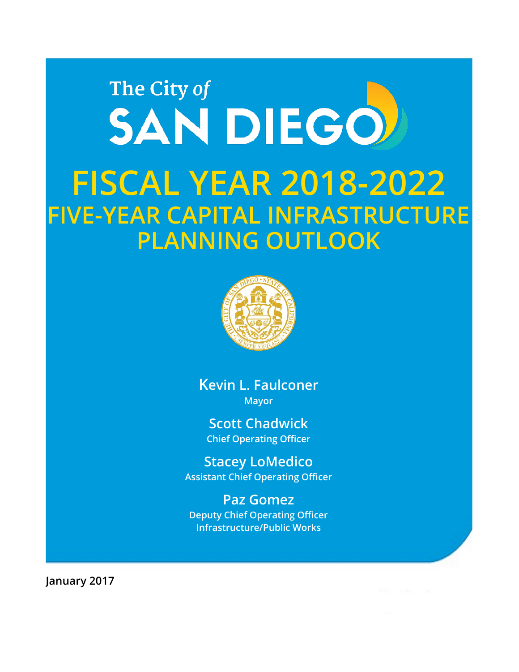# The City of SAN DIEGO **FISCAL YEAR 2018-2022 FIVE-YEAR CAPITAL INFRASTRUCTURE PLANNING OUTLOOK**



**Kevin L. Faulconer Mayor**

**Scott Chadwick Chief Operating Officer**

**Stacey LoMedico Assistant Chief Operating Officer**

**Paz Gomez Deputy Chief Operating Officer Infrastructure/Public Works**

**January 2017**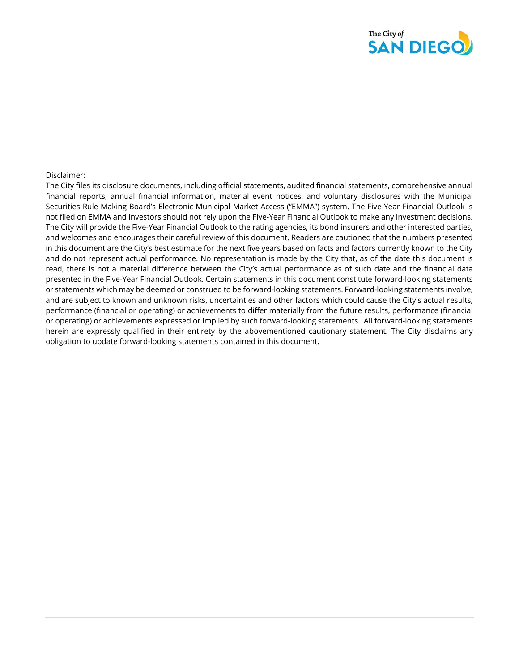

#### Disclaimer:

The City files its disclosure documents, including official statements, audited financial statements, comprehensive annual financial reports, annual financial information, material event notices, and voluntary disclosures with the Municipal Securities Rule Making Board's Electronic Municipal Market Access ("EMMA") system. The Five-Year Financial Outlook is not filed on EMMA and investors should not rely upon the Five-Year Financial Outlook to make any investment decisions. The City will provide the Five-Year Financial Outlook to the rating agencies, its bond insurers and other interested parties, and welcomes and encourages their careful review of this document. Readers are cautioned that the numbers presented in this document are the City's best estimate for the next five years based on facts and factors currently known to the City and do not represent actual performance. No representation is made by the City that, as of the date this document is read, there is not a material difference between the City's actual performance as of such date and the financial data presented in the Five-Year Financial Outlook. Certain statements in this document constitute forward-looking statements or statements which may be deemed or construed to be forward-looking statements. Forward-looking statements involve, and are subject to known and unknown risks, uncertainties and other factors which could cause the City's actual results, performance (financial or operating) or achievements to differ materially from the future results, performance (financial or operating) or achievements expressed or implied by such forward-looking statements. All forward-looking statements herein are expressly qualified in their entirety by the abovementioned cautionary statement. The City disclaims any obligation to update forward-looking statements contained in this document.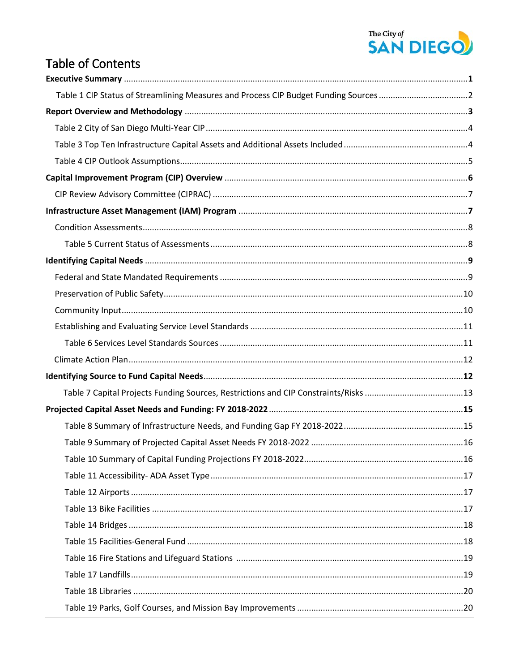# The City of<br>**SAN DIEGO**

## **Table of Contents**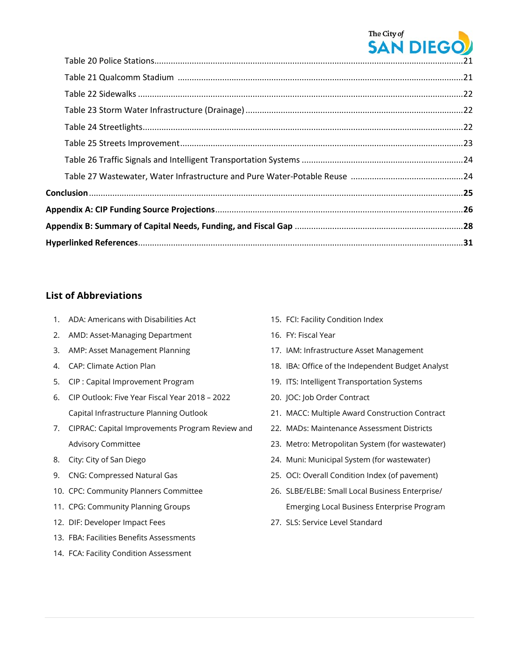

#### **List of Abbreviations**

- 1. ADA: Americans with Disabilities Act
- 2. AMD: Asset-Managing Department
- 3. AMP: Asset Management Planning
- 4. CAP: Climate Action Plan
- 5. CIP : Capital Improvement Program
- 6. CIP Outlook: Five Year Fiscal Year 2018 2022 Capital Infrastructure Planning Outlook
- 7. CIPRAC: Capital Improvements Program Review and Advisory Committee
- 8. City: City of San Diego
- 9. CNG: Compressed Natural Gas
- 10. CPC: Community Planners Committee
- 11. CPG: Community Planning Groups
- 12. DIF: Developer Impact Fees
- 13. FBA: Facilities Benefits Assessments
- 14. FCA: Facility Condition Assessment
- 15. FCI: Facility Condition Index
- 16. FY: Fiscal Year
- 17. IAM: Infrastructure Asset Management
- 18. IBA: Office of the Independent Budget Analyst
- 19. ITS: Intelligent Transportation Systems
- 20. JOC: Job Order Contract
- 21. MACC: Multiple Award Construction Contract
- 22. MADs: Maintenance Assessment Districts
- 23. Metro: Metropolitan System (for wastewater)
- 24. Muni: Municipal System (for wastewater)
- 25. OCI: Overall Condition Index (of pavement)
- 26. SLBE/ELBE: Small Local Business Enterprise/ Emerging Local Business Enterprise Program
- 27. SLS: Service Level Standard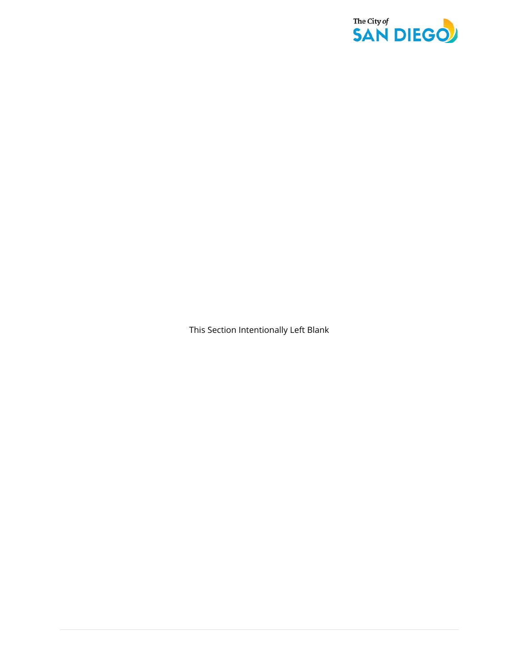

This Section Intentionally Left Blank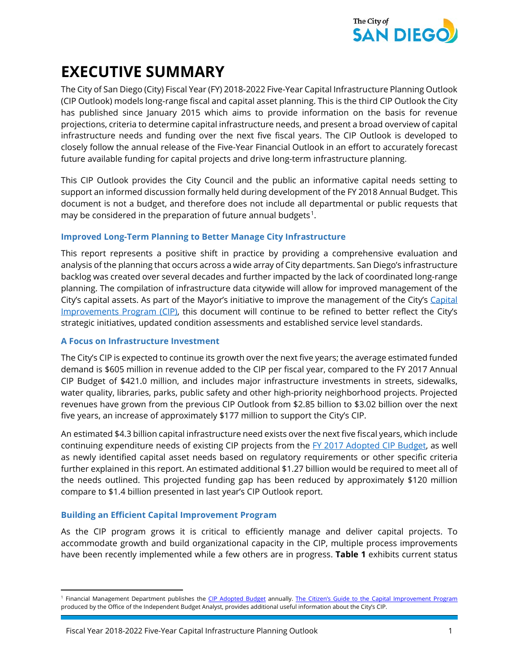

## **EXECUTIVE SUMMARY**

The City of San Diego (City) Fiscal Year (FY) 2018-2022 Five-Year Capital Infrastructure Planning Outlook (CIP Outlook) models long-range fiscal and capital asset planning. This is the third CIP Outlook the City has published since January 2015 which aims to provide information on the basis for revenue projections, criteria to determine capital infrastructure needs, and present a broad overview of capital infrastructure needs and funding over the next five fiscal years. The CIP Outlook is developed to closely follow the annual release of the Five-Year Financial Outlook in an effort to accurately forecast future available funding for capital projects and drive long-term infrastructure planning.

This CIP Outlook provides the City Council and the public an informative capital needs setting to support an informed discussion formally held during development of the FY 2018 Annual Budget. This document is not a budget, and therefore does not include all departmental or public requests that may be considered in the preparation of future annual budgets<sup>1</sup>.

#### **Improved Long-Term Planning to Better Manage City Infrastructure**

This report represents a positive shift in practice by providing a comprehensive evaluation and analysis of the planning that occurs across a wide array of City departments. San Diego's infrastructure backlog was created over several decades and further impacted by the lack of coordinated long-range planning. The compilation of infrastructure data citywide will allow for improved management of the City's capital assets. As part of the Mayor's initiative to improve the management of the City's [Capital](http://www.sandiego.gov/cip/about/index.shtml)  [Improvements](http://www.sandiego.gov/cip/about/index.shtml) Program (CIP), this document will continue to be refined to better reflect the City's strategic initiatives, updated condition assessments and established service level standards.

#### **A Focus on Infrastructure Investment**

The City's CIP is expected to continue its growth over the next five years; the average estimated funded demand is \$605 million in revenue added to the CIP per fiscal year, compared to the FY 2017 Annual CIP Budget of \$421.0 million, and includes major infrastructure investments in streets, sidewalks, water quality, libraries, parks, public safety and other high-priority neighborhood projects. Projected revenues have grown from the previous CIP Outlook from \$2.85 billion to \$3.02 billion over the next five years, an increase of approximately \$177 million to support the City's CIP.

An estimated \$4.3 billion capital infrastructure need exists over the next five fiscal years, which include continuing expenditure needs of existing CIP projects from the [FY 2017 Adopted](https://www.sandiego.gov/fm/annual) CIP Budget, as well as newly identified capital asset needs based on regulatory requirements or other specific criteria further explained in this report. An estimated additional \$1.27 billion would be required to meet all of the needs outlined. This projected funding gap has been reduced by approximately \$120 million compare to \$1.4 billion presented in last year's CIP Outlook report.

#### **Building an Efficient Capital Improvement Program**

 $\overline{\phantom{a}}$ 

As the CIP program grows it is critical to efficiently manage and deliver capital projects. To accommodate growth and build organizational capacity in the CIP, multiple process improvements have been recently implemented while a few others are in progress. **Table 1** exhibits current status

<span id="page-5-0"></span><sup>&</sup>lt;sup>1</sup> Financial Management Department publishes the [CIP Adopted Budget](https://www.sandiego.gov/fm/annual) annually. [The Citizen's Guide to the Capital Improvement Program](https://www.sandiego.gov/sites/default/files/iba-citizens-guide-to-infrastructure.pdf) produced by the Office of the Independent Budget Analyst, provides additional useful information about the City's CIP.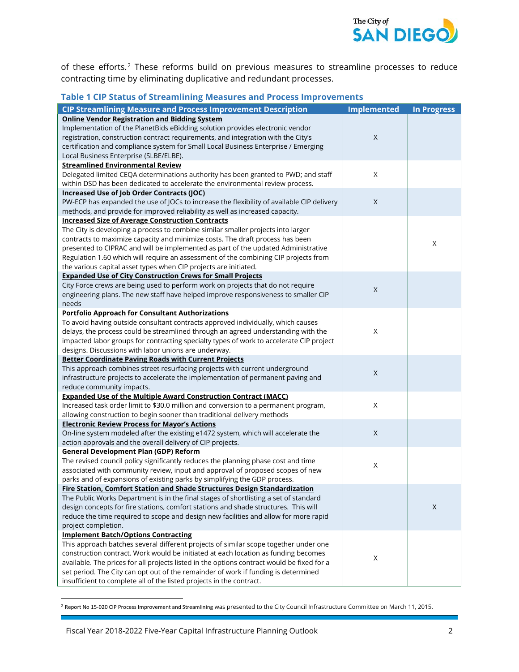

of these efforts.<sup>[2](#page-6-0)</sup> These reforms build on previous measures to streamline processes to reduce contracting time by eliminating duplicative and redundant processes.

#### **Table 1 CIP Status of Streamlining Measures and Process Improvements**

| <b>CIP Streamlining Measure and Process Improvement Description</b>                        | <b>Implemented</b> | <b>In Progress</b> |
|--------------------------------------------------------------------------------------------|--------------------|--------------------|
| <b>Online Vendor Registration and Bidding System</b>                                       |                    |                    |
| Implementation of the PlanetBids eBidding solution provides electronic vendor              |                    |                    |
| registration, construction contract requirements, and integration with the City's          | $\mathsf X$        |                    |
| certification and compliance system for Small Local Business Enterprise / Emerging         |                    |                    |
| Local Business Enterprise (SLBE/ELBE).                                                     |                    |                    |
| <b>Streamlined Environmental Review</b>                                                    |                    |                    |
| Delegated limited CEQA determinations authority has been granted to PWD; and staff         | $\times$           |                    |
| within DSD has been dedicated to accelerate the environmental review process.              |                    |                    |
| Increased Use of Job Order Contracts (JOC)                                                 |                    |                    |
| PW-ECP has expanded the use of JOCs to increase the flexibility of available CIP delivery  | X                  |                    |
| methods, and provide for improved reliability as well as increased capacity.               |                    |                    |
| <b>Increased Size of Average Construction Contracts</b>                                    |                    |                    |
| The City is developing a process to combine similar smaller projects into larger           |                    |                    |
| contracts to maximize capacity and minimize costs. The draft process has been              |                    |                    |
|                                                                                            |                    | Χ                  |
| presented to CIPRAC and will be implemented as part of the updated Administrative          |                    |                    |
| Regulation 1.60 which will require an assessment of the combining CIP projects from        |                    |                    |
| the various capital asset types when CIP projects are initiated.                           |                    |                    |
| <b>Expanded Use of City Construction Crews for Small Projects</b>                          |                    |                    |
| City Force crews are being used to perform work on projects that do not require            | $\mathsf{X}$       |                    |
| engineering plans. The new staff have helped improve responsiveness to smaller CIP         |                    |                    |
| needs                                                                                      |                    |                    |
| <b>Portfolio Approach for Consultant Authorizations</b>                                    |                    |                    |
| To avoid having outside consultant contracts approved individually, which causes           |                    |                    |
| delays, the process could be streamlined through an agreed understanding with the          | Χ                  |                    |
| impacted labor groups for contracting specialty types of work to accelerate CIP project    |                    |                    |
| designs. Discussions with labor unions are underway.                                       |                    |                    |
| <b>Better Coordinate Paving Roads with Current Projects</b>                                |                    |                    |
| This approach combines street resurfacing projects with current underground                | $\mathsf X$        |                    |
| infrastructure projects to accelerate the implementation of permanent paving and           |                    |                    |
| reduce community impacts.                                                                  |                    |                    |
| <b>Expanded Use of the Multiple Award Construction Contract (MACC)</b>                     |                    |                    |
| Increased task order limit to \$30.0 million and conversion to a permanent program,        | $\mathsf X$        |                    |
| allowing construction to begin sooner than traditional delivery methods                    |                    |                    |
| <b>Electronic Review Process for Mayor's Actions</b>                                       |                    |                    |
| On-line system modeled after the existing e1472 system, which will accelerate the          | $\mathsf X$        |                    |
| action approvals and the overall delivery of CIP projects.                                 |                    |                    |
| <b>General Development Plan (GDP) Reform</b>                                               |                    |                    |
| The revised council policy significantly reduces the planning phase cost and time          | Χ                  |                    |
| associated with community review, input and approval of proposed scopes of new             |                    |                    |
| parks and of expansions of existing parks by simplifying the GDP process.                  |                    |                    |
| Fire Station, Comfort Station and Shade Structures Design Standardization                  |                    |                    |
| The Public Works Department is in the final stages of shortlisting a set of standard       |                    |                    |
| design concepts for fire stations, comfort stations and shade structures. This will        |                    | X                  |
| reduce the time required to scope and design new facilities and allow for more rapid       |                    |                    |
| project completion.                                                                        |                    |                    |
| <b>Implement Batch/Options Contracting</b>                                                 |                    |                    |
| This approach batches several different projects of similar scope together under one       |                    |                    |
| construction contract. Work would be initiated at each location as funding becomes         |                    |                    |
| available. The prices for all projects listed in the options contract would be fixed for a | Χ                  |                    |
| set period. The City can opt out of the remainder of work if funding is determined         |                    |                    |
| insufficient to complete all of the listed projects in the contract.                       |                    |                    |

<span id="page-6-0"></span><sup>&</sup>lt;sup>2</sup> Report No 15-020 CIP Process Improvement and Streamlining was presented to the City Council Infrastructure Committee on March 11, 2015.

 $\overline{\phantom{a}}$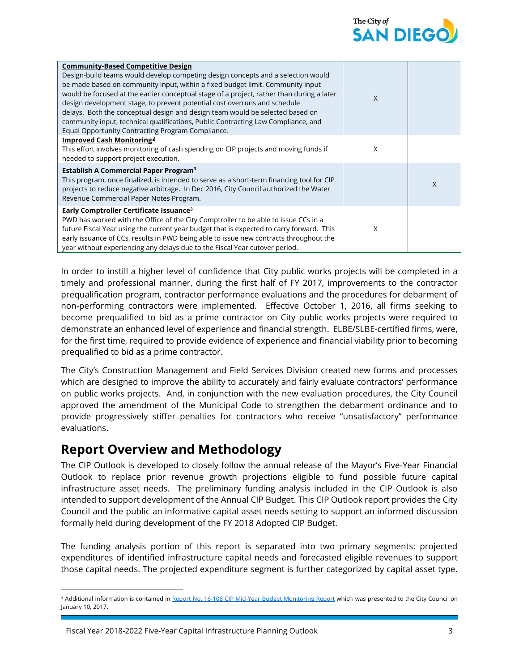

| <b>Community-Based Competitive Design</b><br>Design-build teams would develop competing design concepts and a selection would<br>be made based on community input, within a fixed budget limit. Community input<br>would be focused at the earlier conceptual stage of a project, rather than during a later<br>design development stage, to prevent potential cost overruns and schedule<br>delays. Both the conceptual design and design team would be selected based on<br>community input, technical qualifications, Public Contracting Law Compliance, and<br>Equal Opportunity Contracting Program Compliance. | X |   |
|----------------------------------------------------------------------------------------------------------------------------------------------------------------------------------------------------------------------------------------------------------------------------------------------------------------------------------------------------------------------------------------------------------------------------------------------------------------------------------------------------------------------------------------------------------------------------------------------------------------------|---|---|
| Improved Cash Monitoring <sup>3</sup><br>This effort involves monitoring of cash spending on CIP projects and moving funds if<br>needed to support project execution.                                                                                                                                                                                                                                                                                                                                                                                                                                                | X |   |
| <b>Establish A Commercial Paper Program<sup>3</sup></b><br>This program, once finalized, is intended to serve as a short-term financing tool for CIP<br>projects to reduce negative arbitrage. In Dec 2016, City Council authorized the Water<br>Revenue Commercial Paper Notes Program.                                                                                                                                                                                                                                                                                                                             |   | X |
| <b>Early Comptroller Certificate Issuance<sup>3</sup></b><br>PWD has worked with the Office of the City Comptroller to be able to issue CCs in a<br>future Fiscal Year using the current year budget that is expected to carry forward. This<br>early issuance of CCs, results in PWD being able to issue new contracts throughout the<br>year without experiencing any delays due to the Fiscal Year cutover period.                                                                                                                                                                                                | X |   |

In order to instill a higher level of confidence that City public works projects will be completed in a timely and professional manner, during the first half of FY 2017, improvements to the contractor prequalification program, contractor performance evaluations and the procedures for debarment of non-performing contractors were implemented. Effective October 1, 2016, all firms seeking to become prequalified to bid as a prime contractor on City public works projects were required to demonstrate an enhanced level of experience and financial strength. ELBE/SLBE-certified firms, were, for the first time, required to provide evidence of experience and financial viability prior to becoming prequalified to bid as a prime contractor.

The City's Construction Management and Field Services Division created new forms and processes which are designed to improve the ability to accurately and fairly evaluate contractors' performance on public works projects. And, in conjunction with the new evaluation procedures, the City Council approved the amendment of the Municipal Code to strengthen the debarment ordinance and to provide progressively stiffer penalties for contractors who receive "unsatisfactory" performance evaluations.

## **Report Overview and Methodology**

l

The CIP Outlook is developed to closely follow the annual release of the Mayor's Five-Year Financial Outlook to replace prior revenue growth projections eligible to fund possible future capital infrastructure asset needs. The preliminary funding analysis included in the CIP Outlook is also intended to support development of the Annual CIP Budget. This CIP Outlook report provides the City Council and the public an informative capital asset needs setting to support an informed discussion formally held during development of the FY 2018 Adopted CIP Budget.

The funding analysis portion of this report is separated into two primary segments: projected expenditures of identified infrastructure capital needs and forecasted eligible revenues to support those capital needs. The projected expenditure segment is further categorized by capital asset type.

<span id="page-7-0"></span><sup>&</sup>lt;sup>3</sup> Additional information is contained in [Report No. 16-108 CIP Mid-Year Budget Monitoring Report](https://www.sandiego.gov/sites/default/files/fy17cipmybudmonrep.pdf) which was presented to the City Council on January 10, 2017.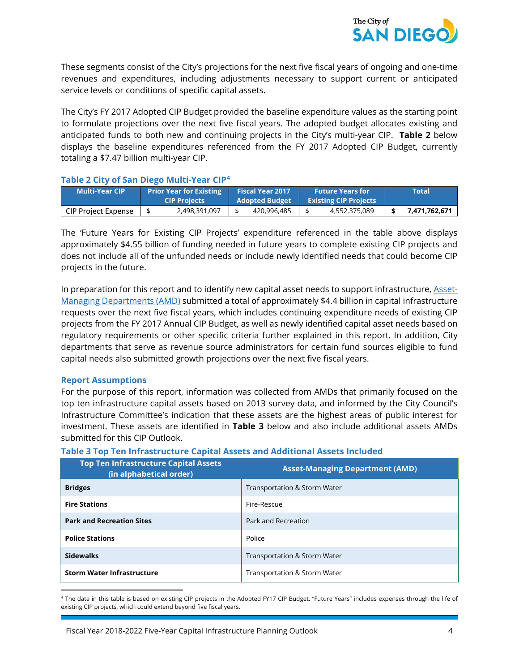

These segments consist of the City's projections for the next five fiscal years of ongoing and one-time revenues and expenditures, including adjustments necessary to support current or anticipated service levels or conditions of specific capital assets.

The City's FY 2017 Adopted CIP Budget provided the baseline expenditure values as the starting point to formulate projections over the next five fiscal years. The adopted budget allocates existing and anticipated funds to both new and continuing projects in the City's multi-year CIP. **Table 2** below displays the baseline expenditures referenced from the FY 2017 Adopted CIP Budget, currently totaling a \$7.47 billion multi-year CIP.

#### **Table 2 City of San Diego Multi-Year CIP[4](#page-8-0)**

| <b>Multi-Year CIP</b>      | <b>Prior Year for Existing</b><br><b>CIP Projects</b> | <b>Fiscal Year 2017</b><br>Adopted Budget |             | <b>Future Years for</b><br><b>Existing CIP Projects</b> |               | Total         |
|----------------------------|-------------------------------------------------------|-------------------------------------------|-------------|---------------------------------------------------------|---------------|---------------|
| <b>CIP Project Expense</b> | 2,498,391,097                                         |                                           | 420,996,485 |                                                         | 4,552,375,089 | 7,471,762,671 |

The 'Future Years for Existing CIP Projects' expenditure referenced in the table above displays approximately \$4.55 billion of funding needed in future years to complete existing CIP projects and does not include all of the unfunded needs or include newly identified needs that could become CIP projects in the future.

In preparation for this report and to identify new capital asset needs to support infrastructure, [Asset-](http://www.sandiego.gov/cip/about/assettypes.shtml)[Managing Departments \(AMD\)](http://www.sandiego.gov/cip/about/assettypes.shtml) submitted a total of approximately \$4.4 billion in capital infrastructure requests over the next five fiscal years, which includes continuing expenditure needs of existing CIP projects from the FY 2017 Annual CIP Budget, as well as newly identified capital asset needs based on regulatory requirements or other specific criteria further explained in this report. In addition, City departments that serve as revenue source administrators for certain fund sources eligible to fund capital needs also submitted growth projections over the next five fiscal years.

#### **Report Assumptions**

 $\overline{\phantom{a}}$ 

For the purpose of this report, information was collected from AMDs that primarily focused on the top ten infrastructure capital assets based on 2013 survey data, and informed by the City Council's Infrastructure Committee's indication that these assets are the highest areas of public interest for investment. These assets are identified in **Table 3** below and also include additional assets AMDs submitted for this CIP Outlook.

#### **Table 3 Top Ten Infrastructure Capital Assets and Additional Assets Included**

| <b>Top Ten Infrastructure Capital Assets</b><br>(in alphabetical order) | <b>Asset-Managing Department (AMD)</b>  |
|-------------------------------------------------------------------------|-----------------------------------------|
| <b>Bridges</b>                                                          | Transportation & Storm Water            |
| <b>Fire Stations</b>                                                    | Fire-Rescue                             |
| <b>Park and Recreation Sites</b>                                        | Park and Recreation                     |
| <b>Police Stations</b>                                                  | Police                                  |
| <b>Sidewalks</b>                                                        | <b>Transportation &amp; Storm Water</b> |
| <b>Storm Water Infrastructure</b>                                       | Transportation & Storm Water            |

<span id="page-8-0"></span><sup>4</sup> The data in this table is based on existing CIP projects in the Adopted FY17 CIP Budget. "Future Years" includes expenses through the life of existing CIP projects, which could extend beyond five fiscal years.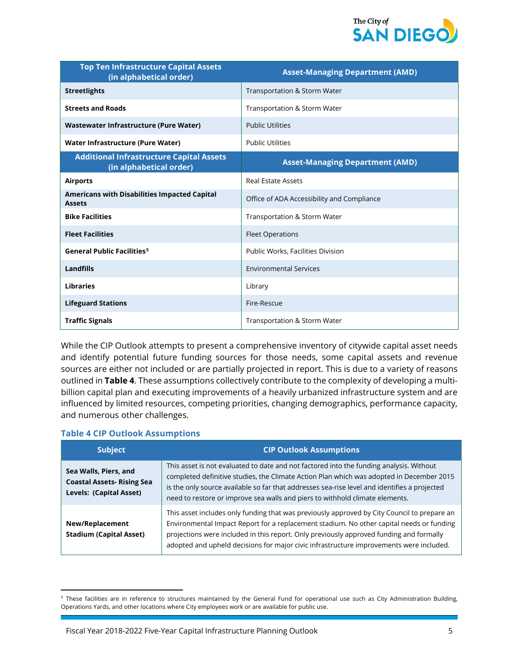

| <b>Top Ten Infrastructure Capital Assets</b><br>(in alphabetical order)    | <b>Asset-Managing Department (AMD)</b>     |
|----------------------------------------------------------------------------|--------------------------------------------|
| <b>Streetlights</b>                                                        | Transportation & Storm Water               |
| <b>Streets and Roads</b>                                                   | Transportation & Storm Water               |
| <b>Wastewater Infrastructure (Pure Water)</b>                              | <b>Public Utilities</b>                    |
| Water Infrastructure (Pure Water)                                          | <b>Public Utilities</b>                    |
| <b>Additional Infrastructure Capital Assets</b><br>(in alphabetical order) | <b>Asset-Managing Department (AMD)</b>     |
| <b>Airports</b>                                                            | <b>Real Estate Assets</b>                  |
| Americans with Disabilities Impacted Capital<br><b>Assets</b>              | Office of ADA Accessibility and Compliance |
| <b>Bike Facilities</b>                                                     | Transportation & Storm Water               |
| <b>Fleet Facilities</b>                                                    | <b>Fleet Operations</b>                    |
| <b>General Public Facilities<sup>5</sup></b>                               | Public Works, Facilities Division          |
| Landfills                                                                  | <b>Environmental Services</b>              |
| <b>Libraries</b>                                                           | Library                                    |
| <b>Lifeguard Stations</b>                                                  | Fire-Rescue                                |
| <b>Traffic Signals</b>                                                     | Transportation & Storm Water               |

While the CIP Outlook attempts to present a comprehensive inventory of citywide capital asset needs and identify potential future funding sources for those needs, some capital assets and revenue sources are either not included or are partially projected in report. This is due to a variety of reasons outlined in **Table 4**. These assumptions collectively contribute to the complexity of developing a multibillion capital plan and executing improvements of a heavily urbanized infrastructure system and are influenced by limited resources, competing priorities, changing demographics, performance capacity, and numerous other challenges.

#### **Table 4 CIP Outlook Assumptions**

 $\overline{\phantom{a}}$ 

| <b>Subject</b>                                                                        | <b>CIP Outlook Assumptions</b>                                                                                                                                                                                                                                                                                                                                                |
|---------------------------------------------------------------------------------------|-------------------------------------------------------------------------------------------------------------------------------------------------------------------------------------------------------------------------------------------------------------------------------------------------------------------------------------------------------------------------------|
| Sea Walls, Piers, and<br><b>Coastal Assets- Rising Sea</b><br>Levels: (Capital Asset) | This asset is not evaluated to date and not factored into the funding analysis. Without<br>completed definitive studies, the Climate Action Plan which was adopted in December 2015<br>is the only source available so far that addresses sea-rise level and identifies a projected<br>need to restore or improve sea walls and piers to withhold climate elements.           |
| New/Replacement<br><b>Stadium (Capital Asset)</b>                                     | This asset includes only funding that was previously approved by City Council to prepare an<br>Environmental Impact Report for a replacement stadium. No other capital needs or funding<br>projections were included in this report. Only previously approved funding and formally<br>adopted and upheld decisions for major civic infrastructure improvements were included. |

<span id="page-9-0"></span><sup>&</sup>lt;sup>5</sup> These facilities are in reference to structures maintained by the General Fund for operational use such as City Administration Building, Operations Yards, and other locations where City employees work or are available for public use.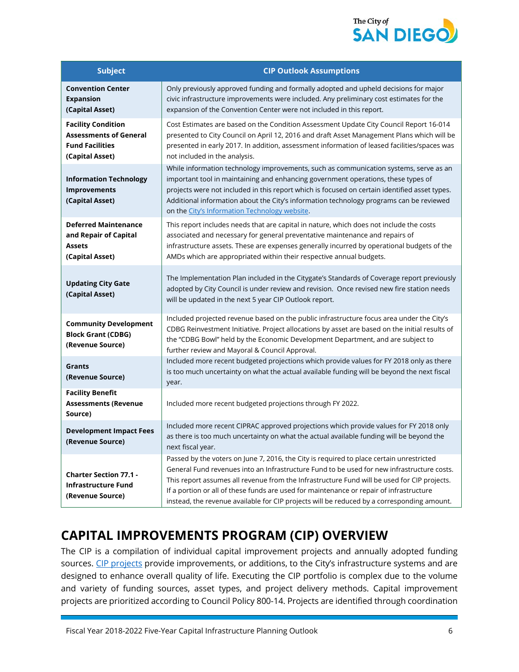

| <b>Subject</b>                                                                                          | <b>CIP Outlook Assumptions</b>                                                                                                                                                                                                                                                                                                                                                                                                                                                 |
|---------------------------------------------------------------------------------------------------------|--------------------------------------------------------------------------------------------------------------------------------------------------------------------------------------------------------------------------------------------------------------------------------------------------------------------------------------------------------------------------------------------------------------------------------------------------------------------------------|
| <b>Convention Center</b><br><b>Expansion</b><br>(Capital Asset)                                         | Only previously approved funding and formally adopted and upheld decisions for major<br>civic infrastructure improvements were included. Any preliminary cost estimates for the<br>expansion of the Convention Center were not included in this report.                                                                                                                                                                                                                        |
| <b>Facility Condition</b><br><b>Assessments of General</b><br><b>Fund Facilities</b><br>(Capital Asset) | Cost Estimates are based on the Condition Assessment Update City Council Report 16-014<br>presented to City Council on April 12, 2016 and draft Asset Management Plans which will be<br>presented in early 2017. In addition, assessment information of leased facilities/spaces was<br>not included in the analysis.                                                                                                                                                          |
| <b>Information Technology</b><br><b>Improvements</b><br>(Capital Asset)                                 | While information technology improvements, such as communication systems, serve as an<br>important tool in maintaining and enhancing government operations, these types of<br>projects were not included in this report which is focused on certain identified asset types.<br>Additional information about the City's information technology programs can be reviewed<br>on the City's Information Technology website.                                                        |
| <b>Deferred Maintenance</b><br>and Repair of Capital<br><b>Assets</b><br>(Capital Asset)                | This report includes needs that are capital in nature, which does not include the costs<br>associated and necessary for general preventative maintenance and repairs of<br>infrastructure assets. These are expenses generally incurred by operational budgets of the<br>AMDs which are appropriated within their respective annual budgets.                                                                                                                                   |
| <b>Updating City Gate</b><br>(Capital Asset)                                                            | The Implementation Plan included in the Citygate's Standards of Coverage report previously<br>adopted by City Council is under review and revision. Once revised new fire station needs<br>will be updated in the next 5 year CIP Outlook report.                                                                                                                                                                                                                              |
| <b>Community Development</b><br><b>Block Grant (CDBG)</b><br>(Revenue Source)                           | Included projected revenue based on the public infrastructure focus area under the City's<br>CDBG Reinvestment Initiative. Project allocations by asset are based on the initial results of<br>the "CDBG Bowl" held by the Economic Development Department, and are subject to<br>further review and Mayoral & Council Approval.                                                                                                                                               |
| Grants<br>(Revenue Source)                                                                              | Included more recent budgeted projections which provide values for FY 2018 only as there<br>is too much uncertainty on what the actual available funding will be beyond the next fiscal<br>year.                                                                                                                                                                                                                                                                               |
| <b>Facility Benefit</b><br><b>Assessments (Revenue</b><br>Source)                                       | Included more recent budgeted projections through FY 2022.                                                                                                                                                                                                                                                                                                                                                                                                                     |
| <b>Development Impact Fees</b><br>(Revenue Source)                                                      | Included more recent CIPRAC approved projections which provide values for FY 2018 only<br>as there is too much uncertainty on what the actual available funding will be beyond the<br>next fiscal year.                                                                                                                                                                                                                                                                        |
| <b>Charter Section 77.1 -</b><br><b>Infrastructure Fund</b><br>(Revenue Source)                         | Passed by the voters on June 7, 2016, the City is required to place certain unrestricted<br>General Fund revenues into an Infrastructure Fund to be used for new infrastructure costs.<br>This report assumes all revenue from the Infrastructure Fund will be used for CIP projects.<br>If a portion or all of these funds are used for maintenance or repair of infrastructure<br>instead, the revenue available for CIP projects will be reduced by a corresponding amount. |

## **CAPITAL IMPROVEMENTS PROGRAM (CIP) OVERVIEW**

The CIP is a compilation of individual capital improvement projects and annually adopted funding sources. [CIP projects](https://www.sandiego.gov/cip/about) provide improvements, or additions, to the City's infrastructure systems and are designed to enhance overall quality of life. Executing the CIP portfolio is complex due to the volume and variety of funding sources, asset types, and project delivery methods. Capital improvement projects are prioritized according to Council Policy 800-14. Projects are identified through coordination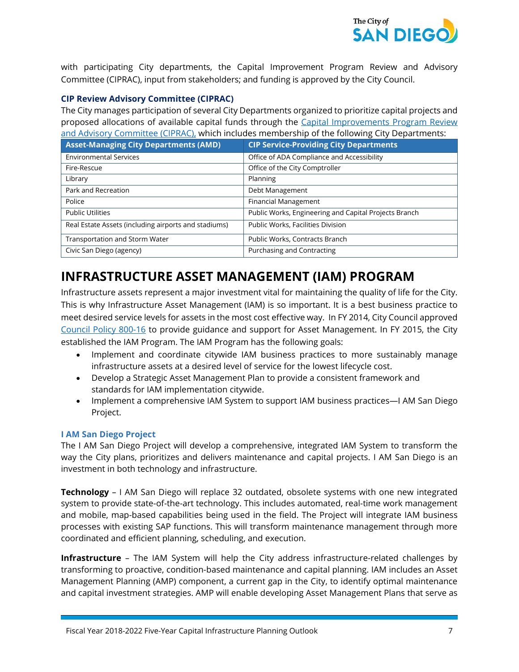

with participating City departments, the Capital Improvement Program Review and Advisory Committee (CIPRAC), input from stakeholders; and funding is approved by the City Council.

#### **CIP Review Advisory Committee (CIPRAC)**

The City manages participation of several City Departments organized to prioritize capital projects and proposed allocations of available capital funds through the [Capital Improvements Program Review](http://www.sandiego.gov/cip/about/ciprac.shtml)  [and Advisory Committee \(CIPRAC\),](http://www.sandiego.gov/cip/about/ciprac.shtml) which includes membership of the following City Departments:

| <b>Asset-Managing City Departments (AMD)</b>         | <b>CIP Service-Providing City Departments</b>         |
|------------------------------------------------------|-------------------------------------------------------|
| <b>Environmental Services</b>                        | Office of ADA Compliance and Accessibility            |
| Fire-Rescue                                          | Office of the City Comptroller                        |
| Library                                              | Planning                                              |
| Park and Recreation                                  | Debt Management                                       |
| Police                                               | Financial Management                                  |
| <b>Public Utilities</b>                              | Public Works, Engineering and Capital Projects Branch |
| Real Estate Assets (including airports and stadiums) | Public Works, Facilities Division                     |
| <b>Transportation and Storm Water</b>                | Public Works, Contracts Branch                        |
| Civic San Diego (agency)                             | Purchasing and Contracting                            |

## **INFRASTRUCTURE ASSET MANAGEMENT (IAM) PROGRAM**

Infrastructure assets represent a major investment vital for maintaining the quality of life for the City. This is why Infrastructure Asset Management (IAM) is so important. It is a best business practice to meet desired service levels for assets in the most cost effective way. In FY 2014, City Council approved [Council Policy 800-16](http://docs.sandiego.gov/councilpolicies/cpd_800-16.pdf) to provide guidance and support for Asset Management. In FY 2015, the City established the IAM Program. The IAM Program has the following goals:

- Implement and coordinate citywide IAM business practices to more sustainably manage infrastructure assets at a desired level of service for the lowest lifecycle cost.
- Develop a Strategic Asset Management Plan to provide a consistent framework and standards for IAM implementation citywide.
- Implement a comprehensive IAM System to support IAM business practices—I AM San Diego Project.

#### **I AM San Diego Project**

The I AM San Diego Project will develop a comprehensive, integrated IAM System to transform the way the City plans, prioritizes and delivers maintenance and capital projects. I AM San Diego is an investment in both technology and infrastructure.

**Technology** – I AM San Diego will replace 32 outdated, obsolete systems with one new integrated system to provide state-of-the-art technology. This includes automated, real-time work management and mobile, map-based capabilities being used in the field. The Project will integrate IAM business processes with existing SAP functions. This will transform maintenance management through more coordinated and efficient planning, scheduling, and execution.

**Infrastructure** – The IAM System will help the City address infrastructure-related challenges by transforming to proactive, condition-based maintenance and capital planning. IAM includes an Asset Management Planning (AMP) component, a current gap in the City, to identify optimal maintenance and capital investment strategies. AMP will enable developing Asset Management Plans that serve as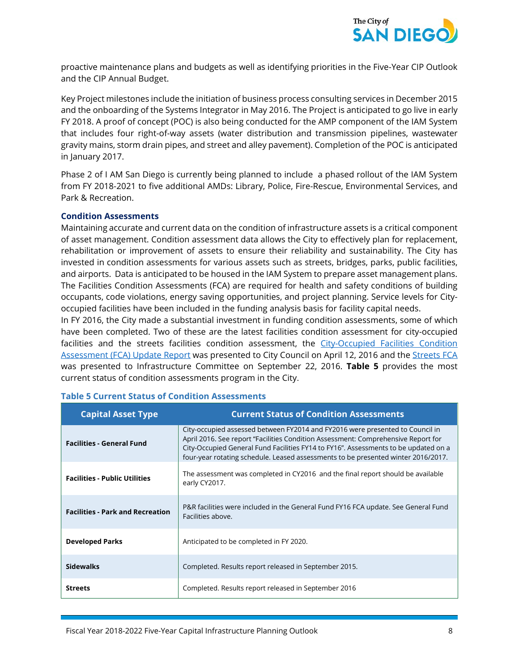

proactive maintenance plans and budgets as well as identifying priorities in the Five-Year CIP Outlook and the CIP Annual Budget.

Key Project milestones include the initiation of business process consulting services in December 2015 and the onboarding of the Systems Integrator in May 2016. The Project is anticipated to go live in early FY 2018. A proof of concept (POC) is also being conducted for the AMP component of the IAM System that includes four right-of-way assets (water distribution and transmission pipelines, wastewater gravity mains, storm drain pipes, and street and alley pavement). Completion of the POC is anticipated in January 2017.

Phase 2 of I AM San Diego is currently being planned to include a phased rollout of the IAM System from FY 2018-2021 to five additional AMDs: Library, Police, Fire-Rescue, Environmental Services, and Park & Recreation.

#### **Condition Assessments**

Maintaining accurate and current data on the condition of infrastructure assets is a critical component of asset management. Condition assessment data allows the City to effectively plan for replacement, rehabilitation or improvement of assets to ensure their reliability and sustainability. The City has invested in condition assessments for various assets such as streets, bridges, parks, public facilities, and airports. Data is anticipated to be housed in the IAM System to prepare asset management plans. The Facilities Condition Assessments (FCA) are required for health and safety conditions of building occupants, code violations, energy saving opportunities, and project planning. Service levels for Cityoccupied facilities have been included in the funding analysis basis for facility capital needs.

In FY 2016, the City made a substantial investment in funding condition assessments, some of which have been completed. Two of these are the latest facilities condition assessment for city-occupied facilities and the streets facilities condition assessment, the City-Occupied Facilities Condition [Assessment \(FCA\) Update Report](http://dockets.sandiego.gov/sirepub/pubmtgframe.aspx?meetid=3074&doctype=Agenda) was presented to City Council on April 12, 2016 and the [Streets FCA](http://docs.sandiego.gov/councilcomm_agendas_attach/2016/Infra_160922_4.pdf) was presented to Infrastructure Committee on September 22, 2016. **Table 5** provides the most current status of condition assessments program in the City.

| <b>Capital Asset Type</b>               | <b>Current Status of Condition Assessments</b>                                                                                                                                                                                                                                                                                                 |
|-----------------------------------------|------------------------------------------------------------------------------------------------------------------------------------------------------------------------------------------------------------------------------------------------------------------------------------------------------------------------------------------------|
| <b>Facilities - General Fund</b>        | City-occupied assessed between FY2014 and FY2016 were presented to Council in<br>April 2016. See report "Facilities Condition Assessment: Comprehensive Report for<br>City-Occupied General Fund Facilities FY14 to FY16". Assessments to be updated on a<br>four-year rotating schedule. Leased assessments to be presented winter 2016/2017. |
| <b>Facilities - Public Utilities</b>    | The assessment was completed in CY2016 and the final report should be available<br>early CY2017.                                                                                                                                                                                                                                               |
| <b>Facilities - Park and Recreation</b> | P&R facilities were included in the General Fund FY16 FCA update. See General Fund<br>Facilities above.                                                                                                                                                                                                                                        |
| <b>Developed Parks</b>                  | Anticipated to be completed in FY 2020.                                                                                                                                                                                                                                                                                                        |
| <b>Sidewalks</b>                        | Completed. Results report released in September 2015.                                                                                                                                                                                                                                                                                          |
| <b>Streets</b>                          | Completed. Results report released in September 2016                                                                                                                                                                                                                                                                                           |

#### **Table 5 Current Status of Condition Assessments**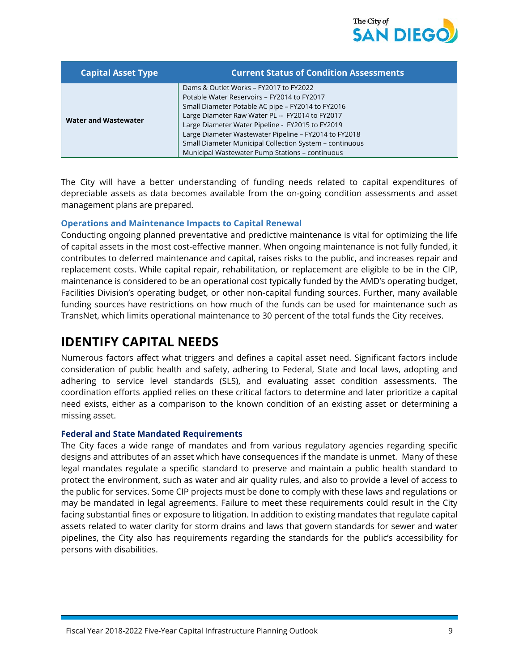

| <b>Capital Asset Type</b>   | <b>Current Status of Condition Assessments</b>                                                                                                                                                                                                                                                                                                                                                                           |
|-----------------------------|--------------------------------------------------------------------------------------------------------------------------------------------------------------------------------------------------------------------------------------------------------------------------------------------------------------------------------------------------------------------------------------------------------------------------|
| <b>Water and Wastewater</b> | Dams & Outlet Works - FY2017 to FY2022<br>Potable Water Reservoirs - FY2014 to FY2017<br>Small Diameter Potable AC pipe - FY2014 to FY2016<br>Large Diameter Raw Water PL -- FY2014 to FY2017<br>Large Diameter Water Pipeline - FY2015 to FY2019<br>Large Diameter Wastewater Pipeline - FY2014 to FY2018<br>Small Diameter Municipal Collection System - continuous<br>Municipal Wastewater Pump Stations - continuous |

The City will have a better understanding of funding needs related to capital expenditures of depreciable assets as data becomes available from the on-going condition assessments and asset management plans are prepared.

#### **Operations and Maintenance Impacts to Capital Renewal**

Conducting ongoing planned preventative and predictive maintenance is vital for optimizing the life of capital assets in the most cost-effective manner. When ongoing maintenance is not fully funded, it contributes to deferred maintenance and capital, raises risks to the public, and increases repair and replacement costs. While capital repair, rehabilitation, or replacement are eligible to be in the CIP, maintenance is considered to be an operational cost typically funded by the AMD's operating budget, Facilities Division's operating budget, or other non-capital funding sources. Further, many available funding sources have restrictions on how much of the funds can be used for maintenance such as TransNet, which limits operational maintenance to 30 percent of the total funds the City receives.

## **IDENTIFY CAPITAL NEEDS**

Numerous factors affect what triggers and defines a capital asset need. Significant factors include consideration of public health and safety, adhering to Federal, State and local laws, adopting and adhering to service level standards (SLS), and evaluating asset condition assessments. The coordination efforts applied relies on these critical factors to determine and later prioritize a capital need exists, either as a comparison to the known condition of an existing asset or determining a missing asset.

#### **Federal and State Mandated Requirements**

The City faces a wide range of mandates and from various regulatory agencies regarding specific designs and attributes of an asset which have consequences if the mandate is unmet. Many of these legal mandates regulate a specific standard to preserve and maintain a public health standard to protect the environment, such as water and air quality rules, and also to provide a level of access to the public for services. Some CIP projects must be done to comply with these laws and regulations or may be mandated in legal agreements. Failure to meet these requirements could result in the City facing substantial fines or exposure to litigation. In addition to existing mandates that regulate capital assets related to water clarity for storm drains and laws that govern standards for sewer and water pipelines, the City also has requirements regarding the standards for the public's accessibility for persons with disabilities.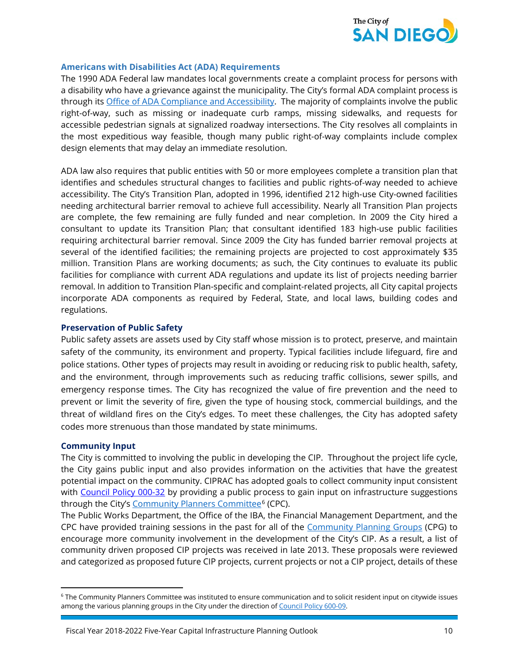

#### **Americans with Disabilities Act (ADA) Requirements**

The 1990 ADA Federal law mandates local governments create a complaint process for persons with a disability who have a grievance against the municipality. The City's formal ADA complaint process is through its [Office of ADA Compliance and Accessibility.](http://www.sandiego.gov/adacompliance/) The majority of complaints involve the public right-of-way, such as missing or inadequate curb ramps, missing sidewalks, and requests for accessible pedestrian signals at signalized roadway intersections. The City resolves all complaints in the most expeditious way feasible, though many public right-of-way complaints include complex design elements that may delay an immediate resolution.

ADA law also requires that public entities with 50 or more employees complete a transition plan that identifies and schedules structural changes to facilities and public rights-of-way needed to achieve accessibility. The City's Transition Plan, adopted in 1996, identified 212 high-use City-owned facilities needing architectural barrier removal to achieve full accessibility. Nearly all Transition Plan projects are complete, the few remaining are fully funded and near completion. In 2009 the City hired a consultant to update its Transition Plan; that consultant identified 183 high-use public facilities requiring architectural barrier removal. Since 2009 the City has funded barrier removal projects at several of the identified facilities; the remaining projects are projected to cost approximately \$35 million. Transition Plans are working documents; as such, the City continues to evaluate its public facilities for compliance with current ADA regulations and update its list of projects needing barrier removal. In addition to Transition Plan-specific and complaint-related projects, all City capital projects incorporate ADA components as required by Federal, State, and local laws, building codes and regulations.

#### **Preservation of Public Safety**

Public safety assets are assets used by City staff whose mission is to protect, preserve, and maintain safety of the community, its environment and property. Typical facilities include lifeguard, fire and police stations. Other types of projects may result in avoiding or reducing risk to public health, safety, and the environment, through improvements such as reducing traffic collisions, sewer spills, and emergency response times. The City has recognized the value of fire prevention and the need to prevent or limit the severity of fire, given the type of housing stock, commercial buildings, and the threat of wildland fires on the City's edges. To meet these challenges, the City has adopted safety codes more strenuous than those mandated by state minimums.

#### **Community Input**

 $\overline{\phantom{a}}$ 

The City is committed to involving the public in developing the CIP. Throughout the project life cycle, the City gains public input and also provides information on the activities that have the greatest potential impact on the community. CIPRAC has adopted goals to collect community input consistent with [Council Policy 000-32](http://docs.sandiego.gov/councilpolicies/cpd_000-32.pdf) by providing a public process to gain input on infrastructure suggestions through the City's [Community Planners Committee](http://www.sandiego.gov/planning/community/cpc/)<sup>[6](#page-14-0)</sup> (CPC).

The Public Works Department, the Office of the IBA, the Financial Management Department, and the CPC have provided training sessions in the past for all of the [Community Planning Groups](http://www.sandiego.gov/planning/community/cpg/index.shtml) (CPG) to encourage more community involvement in the development of the City's CIP. As a result, a list of community driven proposed CIP projects was received in late 2013. These proposals were reviewed and categorized as proposed future CIP projects, current projects or not a CIP project, details of these

<span id="page-14-0"></span><sup>6</sup> The Community Planners Committee was instituted to ensure communication and to solicit resident input on citywide issues among the various planning groups in the City under the direction o[f Council Policy 600-09.](http://docs.sandiego.gov/councilpolicies/cpd_600-09.pdf)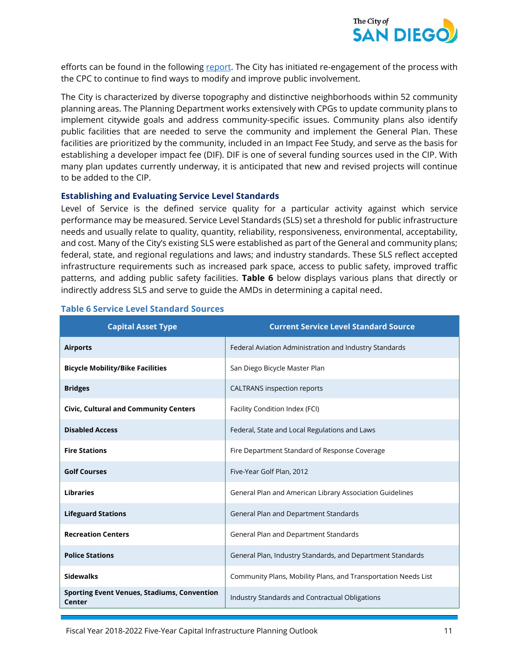

efforts can be found in the following [report.](https://www.sandiego.gov/sites/default/files/legacy/planning/community/pdf/cpc/agendas/attachments/master.pdf) The City has initiated re-engagement of the process with the CPC to continue to find ways to modify and improve public involvement.

The City is characterized by diverse topography and distinctive neighborhoods within 52 community planning areas. The Planning Department works extensively with CPGs to update community plans to implement citywide goals and address community-specific issues. Community plans also identify public facilities that are needed to serve the community and implement the General Plan. These facilities are prioritized by the community, included in an Impact Fee Study, and serve as the basis for establishing a developer impact fee (DIF). DIF is one of several funding sources used in the CIP. With many plan updates currently underway, it is anticipated that new and revised projects will continue to be added to the CIP.

#### **Establishing and Evaluating Service Level Standards**

Level of Service is the defined service quality for a particular activity against which service performance may be measured. Service Level Standards (SLS) set a threshold for public infrastructure needs and usually relate to quality, quantity, reliability, responsiveness, environmental, acceptability, and cost. Many of the City's existing SLS were established as part of the General and community plans; federal, state, and regional regulations and laws; and industry standards. These SLS reflect accepted infrastructure requirements such as increased park space, access to public safety, improved traffic patterns, and adding public safety facilities. **Table 6** below displays various plans that directly or indirectly address SLS and serve to guide the AMDs in determining a capital need.

| <b>Capital Asset Type</b>                                    | <b>Current Service Level Standard Source</b>                   |
|--------------------------------------------------------------|----------------------------------------------------------------|
| <b>Airports</b>                                              | Federal Aviation Administration and Industry Standards         |
| <b>Bicycle Mobility/Bike Facilities</b>                      | San Diego Bicycle Master Plan                                  |
| <b>Bridges</b>                                               | <b>CALTRANS</b> inspection reports                             |
| <b>Civic, Cultural and Community Centers</b>                 | Facility Condition Index (FCI)                                 |
| <b>Disabled Access</b>                                       | Federal, State and Local Regulations and Laws                  |
| <b>Fire Stations</b>                                         | Fire Department Standard of Response Coverage                  |
| <b>Golf Courses</b>                                          | Five-Year Golf Plan, 2012                                      |
| <b>Libraries</b>                                             | General Plan and American Library Association Guidelines       |
| <b>Lifeguard Stations</b>                                    | General Plan and Department Standards                          |
| <b>Recreation Centers</b>                                    | General Plan and Department Standards                          |
| <b>Police Stations</b>                                       | General Plan, Industry Standards, and Department Standards     |
| <b>Sidewalks</b>                                             | Community Plans, Mobility Plans, and Transportation Needs List |
| <b>Sporting Event Venues, Stadiums, Convention</b><br>Center | Industry Standards and Contractual Obligations                 |

#### **Table 6 Service Level Standard Sources**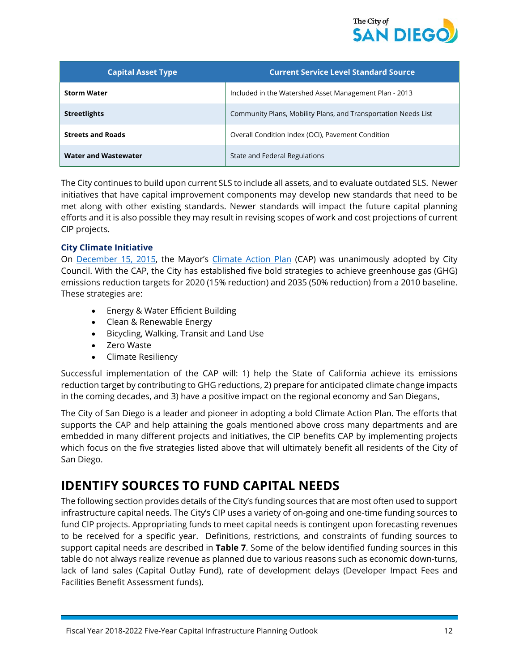

| <b>Capital Asset Type</b>   | <b>Current Service Level Standard Source</b>                   |
|-----------------------------|----------------------------------------------------------------|
| <b>Storm Water</b>          | Included in the Watershed Asset Management Plan - 2013         |
| <b>Streetlights</b>         | Community Plans, Mobility Plans, and Transportation Needs List |
| <b>Streets and Roads</b>    | Overall Condition Index (OCI), Pavement Condition              |
| <b>Water and Wastewater</b> | State and Federal Regulations                                  |

The City continues to build upon current SLS to include all assets, and to evaluate outdated SLS. Newer initiatives that have capital improvement components may develop new standards that need to be met along with other existing standards. Newer standards will impact the future capital planning efforts and it is also possible they may result in revising scopes of work and cost projections of current CIP projects.

#### **City Climate Initiative**

On [December 15, 2015,](http://dockets.sandiego.gov/sirepub/pubmtgframe.aspx?meetid=2914&doctype=Agenda) the Mayor's [Climate Action Plan](https://www.sandiego.gov/sustainability/climate-action-plan) (CAP) was unanimously adopted by City Council. With the CAP, the City has established five bold strategies to achieve greenhouse gas (GHG) emissions reduction targets for 2020 (15% reduction) and 2035 (50% reduction) from a 2010 baseline. These strategies are:

- Energy & Water Efficient Building
- Clean & Renewable Energy
- Bicycling, Walking, Transit and Land Use
- Zero Waste
- Climate Resiliency

Successful implementation of the CAP will: 1) help the State of California achieve its emissions reduction target by contributing to GHG reductions, 2) prepare for anticipated climate change impacts in the coming decades, and 3) have a positive impact on the regional economy and San Diegans.

The City of San Diego is a leader and pioneer in adopting a bold Climate Action Plan. The efforts that supports the CAP and help attaining the goals mentioned above cross many departments and are embedded in many different projects and initiatives, the CIP benefits CAP by implementing projects which focus on the five strategies listed above that will ultimately benefit all residents of the City of San Diego.

## **IDENTIFY SOURCES TO FUND CAPITAL NEEDS**

The following section provides details of the City's funding sources that are most often used to support infrastructure capital needs. The City's CIP uses a variety of on-going and one-time funding sources to fund CIP projects. Appropriating funds to meet capital needs is contingent upon forecasting revenues to be received for a specific year. Definitions, restrictions, and constraints of funding sources to support capital needs are described in **Table 7**. Some of the below identified funding sources in this table do not always realize revenue as planned due to various reasons such as economic down-turns, lack of land sales (Capital Outlay Fund), rate of development delays (Developer Impact Fees and Facilities Benefit Assessment funds).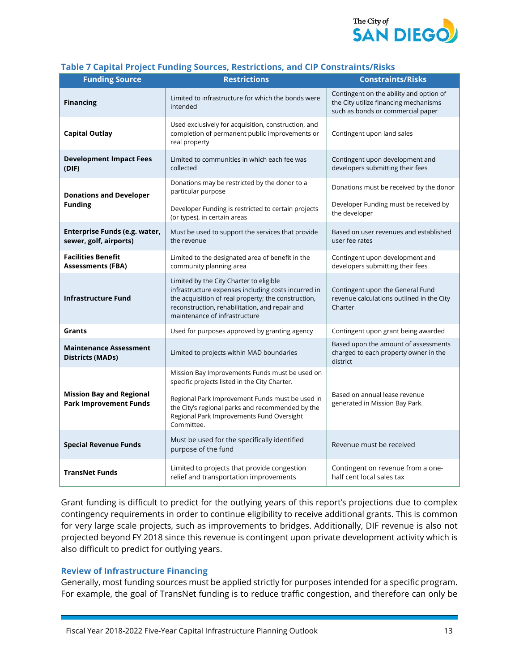

|  |  |  |  |  |  | Table 7 Capital Project Funding Sources, Restrictions, and CIP Constraints/Risks |
|--|--|--|--|--|--|----------------------------------------------------------------------------------|
|--|--|--|--|--|--|----------------------------------------------------------------------------------|

| <b>Funding Source</b>                                            | <b>Restrictions</b>                                                                                                                                                                                                                                               | <b>Constraints/Risks</b>                                                                                              |
|------------------------------------------------------------------|-------------------------------------------------------------------------------------------------------------------------------------------------------------------------------------------------------------------------------------------------------------------|-----------------------------------------------------------------------------------------------------------------------|
| <b>Financing</b>                                                 | Limited to infrastructure for which the bonds were<br>intended                                                                                                                                                                                                    | Contingent on the ability and option of<br>the City utilize financing mechanisms<br>such as bonds or commercial paper |
| <b>Capital Outlay</b>                                            | Used exclusively for acquisition, construction, and<br>completion of permanent public improvements or<br>real property                                                                                                                                            | Contingent upon land sales                                                                                            |
| <b>Development Impact Fees</b><br>(DIF)                          | Limited to communities in which each fee was<br>collected                                                                                                                                                                                                         | Contingent upon development and<br>developers submitting their fees                                                   |
| <b>Donations and Developer</b>                                   | Donations may be restricted by the donor to a<br>particular purpose                                                                                                                                                                                               | Donations must be received by the donor                                                                               |
| <b>Funding</b>                                                   | Developer Funding is restricted to certain projects<br>(or types), in certain areas                                                                                                                                                                               | Developer Funding must be received by<br>the developer                                                                |
| Enterprise Funds (e.g. water,<br>sewer, golf, airports)          | Must be used to support the services that provide<br>the revenue                                                                                                                                                                                                  | Based on user revenues and established<br>user fee rates                                                              |
| <b>Facilities Benefit</b><br><b>Assessments (FBA)</b>            | Limited to the designated area of benefit in the<br>community planning area                                                                                                                                                                                       | Contingent upon development and<br>developers submitting their fees                                                   |
| <b>Infrastructure Fund</b>                                       | Limited by the City Charter to eligible<br>infrastructure expenses including costs incurred in<br>the acquisition of real property; the construction,<br>reconstruction, rehabilitation, and repair and<br>maintenance of infrastructure                          | Contingent upon the General Fund<br>revenue calculations outlined in the City<br>Charter                              |
| Grants                                                           | Used for purposes approved by granting agency                                                                                                                                                                                                                     | Contingent upon grant being awarded                                                                                   |
| <b>Maintenance Assessment</b><br><b>Districts (MADs)</b>         | Limited to projects within MAD boundaries                                                                                                                                                                                                                         | Based upon the amount of assessments<br>charged to each property owner in the<br>district                             |
| <b>Mission Bay and Regional</b><br><b>Park Improvement Funds</b> | Mission Bay Improvements Funds must be used on<br>specific projects listed in the City Charter.<br>Regional Park Improvement Funds must be used in<br>the City's regional parks and recommended by the<br>Regional Park Improvements Fund Oversight<br>Committee. | Based on annual lease revenue<br>generated in Mission Bay Park.                                                       |
| <b>Special Revenue Funds</b>                                     | Must be used for the specifically identified<br>purpose of the fund                                                                                                                                                                                               | Revenue must be received                                                                                              |
| <b>TransNet Funds</b>                                            | Limited to projects that provide congestion<br>relief and transportation improvements                                                                                                                                                                             | Contingent on revenue from a one-<br>half cent local sales tax                                                        |

Grant funding is difficult to predict for the outlying years of this report's projections due to complex contingency requirements in order to continue eligibility to receive additional grants. This is common for very large scale projects, such as improvements to bridges. Additionally, DIF revenue is also not projected beyond FY 2018 since this revenue is contingent upon private development activity which is also difficult to predict for outlying years.

#### **Review of Infrastructure Financing**

Generally, most funding sources must be applied strictly for purposes intended for a specific program. For example, the goal of TransNet funding is to reduce traffic congestion, and therefore can only be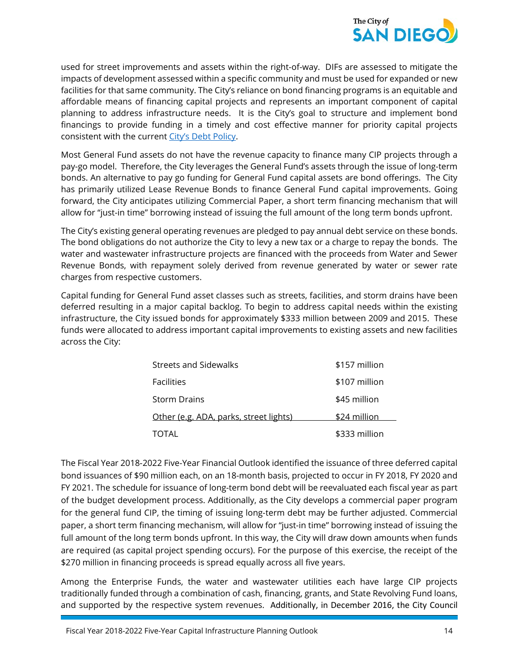

used for street improvements and assets within the right-of-way. DIFs are assessed to mitigate the impacts of development assessed within a specific community and must be used for expanded or new facilities for that same community. The City's reliance on bond financing programs is an equitable and affordable means of financing capital projects and represents an important component of capital planning to address infrastructure needs. It is the City's goal to structure and implement bond financings to provide funding in a timely and cost effective manner for priority capital projects consistent with the current [City's Debt Policy.](http://www.sandiego.gov/fm/pdf/debtpolicy2015.pdf)

Most General Fund assets do not have the revenue capacity to finance many CIP projects through a pay-go model. Therefore, the City leverages the General Fund's assets through the issue of long-term bonds. An alternative to pay go funding for General Fund capital assets are bond offerings. The City has primarily utilized Lease Revenue Bonds to finance General Fund capital improvements. Going forward, the City anticipates utilizing Commercial Paper, a short term financing mechanism that will allow for "just-in time" borrowing instead of issuing the full amount of the long term bonds upfront.

The City's existing general operating revenues are pledged to pay annual debt service on these bonds. The bond obligations do not authorize the City to levy a new tax or a charge to repay the bonds. The water and wastewater infrastructure projects are financed with the proceeds from Water and Sewer Revenue Bonds, with repayment solely derived from revenue generated by water or sewer rate charges from respective customers.

Capital funding for General Fund asset classes such as streets, facilities, and storm drains have been deferred resulting in a major capital backlog. To begin to address capital needs within the existing infrastructure, the City issued bonds for approximately \$333 million between 2009 and 2015. These funds were allocated to address important capital improvements to existing assets and new facilities across the City:

| Streets and Sidewalks                  | \$157 million |
|----------------------------------------|---------------|
| <b>Facilities</b>                      | \$107 million |
| <b>Storm Drains</b>                    | \$45 million  |
| Other (e.g. ADA, parks, street lights) | \$24 million  |
| TOTAL                                  | \$333 million |

The Fiscal Year 2018-2022 Five-Year Financial Outlook identified the issuance of three deferred capital bond issuances of \$90 million each, on an 18-month basis, projected to occur in FY 2018, FY 2020 and FY 2021. The schedule for issuance of long-term bond debt will be reevaluated each fiscal year as part of the budget development process. Additionally, as the City develops a commercial paper program for the general fund CIP, the timing of issuing long-term debt may be further adjusted. Commercial paper, a short term financing mechanism, will allow for "just-in time" borrowing instead of issuing the full amount of the long term bonds upfront. In this way, the City will draw down amounts when funds are required (as capital project spending occurs). For the purpose of this exercise, the receipt of the \$270 million in financing proceeds is spread equally across all five years.

Among the Enterprise Funds, the water and wastewater utilities each have large CIP projects traditionally funded through a combination of cash, financing, grants, and State Revolving Fund loans, and supported by the respective system revenues. Additionally, in December 2016, the City Council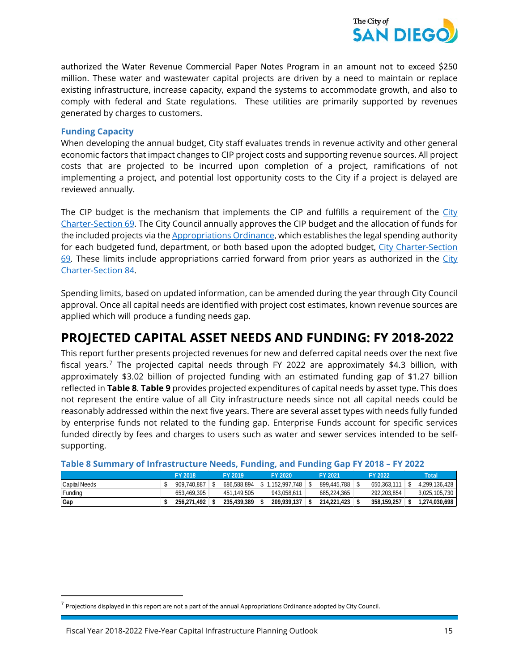

authorized the Water Revenue Commercial Paper Notes Program in an amount not to exceed \$250 million. These water and wastewater capital projects are driven by a need to maintain or replace existing infrastructure, increase capacity, expand the systems to accommodate growth, and also to comply with federal and State regulations. These utilities are primarily supported by revenues generated by charges to customers.

#### **Funding Capacity**

When developing the annual budget, City staff evaluates trends in revenue activity and other general economic factors that impact changes to CIP project costs and supporting revenue sources. All project costs that are projected to be incurred upon completion of a project, ramifications of not implementing a project, and potential lost opportunity costs to the City if a project is delayed are reviewed annually.

The CIP budget is the mechanism that implements the CIP and fulfills a requirement of the City [Charter-Section 69.](http://docs.sandiego.gov/citycharter/Article%20VII.pdf) The City Council annually approves the CIP budget and the allocation of funds for the included projects via th[e Appropriations Ordinance,](http://www.sandiego.gov/fm/policies/) which establishes the legal spending authority for each budgeted fund, department, or both based upon the adopted budget, City Charter-Section [69.](http://docs.sandiego.gov/citycharter/Article%20VII.pdf) These limits include appropriations carried forward from prior years as authorized in the City [Charter-Section 84.](http://docs.sandiego.gov/citycharter/Article%20VII.pdf)

Spending limits, based on updated information, can be amended during the year through City Council approval. Once all capital needs are identified with project cost estimates, known revenue sources are applied which will produce a funding needs gap.

## **PROJECTED CAPITAL ASSET NEEDS AND FUNDING: FY 2018-2022**

This report further presents projected revenues for new and deferred capital needs over the next five fiscal years.[7](#page-19-0) The projected capital needs through FY 2022 are approximately \$4.3 billion, with approximately \$3.02 billion of projected funding with an estimated funding gap of \$1.27 billion reflected in **Table 8**. **Table 9** provides projected expenditures of capital needs by asset type. This does not represent the entire value of all City infrastructure needs since not all capital needs could be reasonably addressed within the next five years. There are several asset types with needs fully funded by enterprise funds not related to the funding gap. Enterprise Funds account for specific services funded directly by fees and charges to users such as water and sewer services intended to be selfsupporting.

|                      | <b>FY 2018</b> | <b>FY 2019</b> |    | FY 2020       | FY 2021     | FY 2022     | Total         |
|----------------------|----------------|----------------|----|---------------|-------------|-------------|---------------|
| <b>Capital Needs</b> | 909.740.887    | 686.588.894    | S. | 1.152.997.748 | 899.445.788 | 650.363.111 | 4.299.136.428 |
| Funding              | 653.469.395    | 451.149.505    |    | 943.058.611   | 685.224.365 | 292.203.854 | 3,025,105,730 |
| Gap                  | 256.271.492    | 235.439.389    |    | 209.939.137   | 214.221.423 | 358.159.257 | 1,274,030,698 |

#### **Table 8 Summary of Infrastructure Needs, Funding, and Funding Gap FY 2018 – FY 2022**

<span id="page-19-0"></span> $<sup>7</sup>$  Projections displayed in this report are not a part of the annual Appropriations Ordinance adopted by City Council.</sup>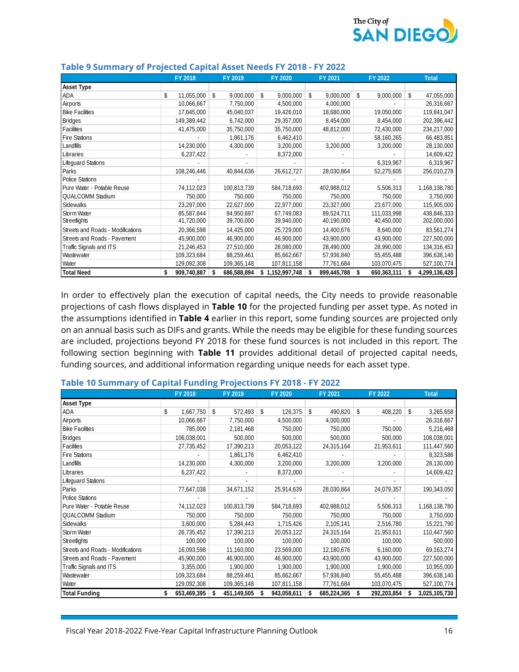

|                                   |    | FY 2018     | FY 2019         | FY 2020         |    | FY 2021     | FY 2022           |    | <b>Total</b>  |
|-----------------------------------|----|-------------|-----------------|-----------------|----|-------------|-------------------|----|---------------|
| <b>Asset Type</b>                 |    |             |                 |                 |    |             |                   |    |               |
| ADA                               | \$ | 11,055,000  | \$<br>9,000,000 | \$<br>9,000,000 | \$ | 9,000,000   | \$<br>9,000,000   | \$ | 47,055,000    |
| Airports                          |    | 10,066,667  | 7,750,000       | 4,500,000       |    | 4,000,000   |                   |    | 26,316,667    |
| <b>Bike Facilities</b>            |    | 17,645,000  | 45,040,037      | 19,426,010      |    | 18,680,000  | 19,050,000        |    | 119,841,047   |
| <b>Bridges</b>                    |    | 149,389,442 | 6,742,000       | 29,357,000      |    | 8,454,000   | 8,454,000         |    | 202,396,442   |
| Facilities                        |    | 41,475,000  | 35,750,000      | 35,750,000      |    | 48,812,000  | 72,430,000        |    | 234,217,000   |
| <b>Fire Stations</b>              |    |             | 1,861,176       | 6,462,410       |    |             | 58,160,265        |    | 66,483,851    |
| Landfills                         |    | 14,230,000  | 4,300,000       | 3,200,000       |    | 3,200,000   | 3,200,000         |    | 28,130,000    |
| Libraries                         |    | 6,237,422   |                 | 8,372,000       |    |             |                   |    | 14,609,422    |
| <b>Lifequard Stations</b>         |    |             |                 |                 |    |             | 6,319,967         |    | 6,319,967     |
| Parks                             |    | 108,246,446 | 40,844,636      | 26,612,727      |    | 28,030,864  | 52,275,605        |    | 256,010,278   |
| <b>Police Stations</b>            |    |             |                 |                 |    |             |                   |    |               |
| Pure Water - Potable Reuse        |    | 74,112,023  | 100,813,739     | 584,718,693     |    | 402,988,012 | 5,506,313         |    | 1,168,138,780 |
| <b>QUALCOMM Stadium</b>           |    | 750,000     | 750,000         | 750,000         |    | 750,000     | 750,000           |    | 3,750,000     |
| Sidewalks                         |    | 23,297,000  | 22,627,000      | 22,977,000      |    | 23,327,000  | 23,677,000        |    | 115,905,000   |
| Storm Water                       |    | 85,587,844  | 84,950,697      | 67,749,083      |    | 89,524,711  | 111,033,998       |    | 438,846,333   |
| Streetlights                      |    | 41,720,000  | 39,700,000      | 39,940,000      |    | 40,190,000  | 40,450,000        |    | 202,000,000   |
| Streets and Roads - Modifications |    | 20,366,598  | 14,425,000      | 25,729,000      |    | 14,400,676  | 8,640,000         |    | 83,561,274    |
| Streets and Roads - Pavement      |    | 45,900,000  | 46,900,000      | 46,900,000      |    | 43,900,000  | 43,900,000        |    | 227,500,000   |
| Traffic Signals and ITS           |    | 21,246,453  | 27,510,000      | 28,080,000      |    | 28,490,000  | 28,990,000        |    | 134,316,453   |
| Wastewater                        |    | 109,323,684 | 88,259,461      | 85,662,667      |    | 57,936,840  | 55,455,488        |    | 396,638,140   |
| Water                             |    | 129,092,308 | 109,365,148     | 107,811,158     |    | 77,761,684  | 103,070,475       |    | 527,100,774   |
| <b>Total Need</b>                 | S  | 909,740,887 | 686,588,894     | \$1,152,997,748 | S  | 899,445,788 | \$<br>650,363,111 | S  | 4,299,136,428 |

#### **Table 9 Summary of Projected Capital Asset Needs FY 2018 - FY 2022**

In order to effectively plan the execution of capital needs, the City needs to provide reasonable projections of cash flows displayed in **Table 10** for the projected funding per asset type. As noted in the assumptions identified in **Table 4** earlier in this report, some funding sources are projected only on an annual basis such as DIFs and grants. While the needs may be eligible for these funding sources are included, projections beyond FY 2018 for these fund sources is not included in this report. The following section beginning with **Table 11** provides additional detail of projected capital needs, funding sources, and additional information regarding unique needs for each asset type.

|                                   | FY 2018           | FY 2019       | FY 2020          | FY 2021          | FY 2022          | <b>Total</b>       |
|-----------------------------------|-------------------|---------------|------------------|------------------|------------------|--------------------|
| <b>Asset Type</b>                 |                   |               |                  |                  |                  |                    |
| <b>ADA</b>                        | \$<br>1,667,750   | 572,493<br>\$ | \$<br>126,375    | \$<br>490,820    | 408,220<br>\$    | \$<br>3,265,658    |
| Airports                          | 10,066,667        | 7,750,000     | 4,500,000        | 4,000,000        |                  | 26,316,667         |
| <b>Bike Facilities</b>            | 785,000           | 2,181,468     | 750,000          | 750,000          | 750,000          | 5,216,468          |
| <b>Bridges</b>                    | 106,038,001       | 500,000       | 500,000          | 500,000          | 500,000          | 108,038,001        |
| Facilities                        | 27,735,452        | 17,390,213    | 20,053,122       | 24,315,164       | 21,953,611       | 111,447,560        |
| <b>Fire Stations</b>              |                   | 1,861,176     | 6,462,410        |                  |                  | 8,323,586          |
| Landfills                         | 14,230,000        | 4,300,000     | 3,200,000        | 3,200,000        | 3,200,000        | 28,130,000         |
| Libraries                         | 6,237,422         |               | 8,372,000        |                  |                  | 14,609,422         |
| <b>Lifequard Stations</b>         |                   |               |                  |                  |                  |                    |
| Parks                             | 77,647,038        | 34,671,152    | 25,914,639       | 28,030,864       | 24,079,357       | 190,343,050        |
| <b>Police Stations</b>            |                   |               |                  |                  |                  |                    |
| Pure Water - Potable Reuse        | 74,112,023        | 100,813,739   | 584,718,693      | 402,988,012      | 5,506,313        | 1,168,138,780      |
| <b>QUALCOMM Stadium</b>           | 750,000           | 750,000       | 750,000          | 750,000          | 750,000          | 3,750,000          |
| Sidewalks                         | 3,600,000         | 5,284,443     | 1,715,426        | 2,105,141        | 2,516,780        | 15,221,790         |
| Storm Water                       | 26,735,452        | 17,390,213    | 20,053,122       | 24,315,164       | 21,953,611       | 110,447,560        |
| <b>Streetlights</b>               | 100,000           | 100,000       | 100,000          | 100,000          | 100,000          | 500,000            |
| Streets and Roads - Modifications | 16,093,598        | 11,160,000    | 23,569,000       | 12,180,676       | 6,160,000        | 69, 163, 274       |
| Streets and Roads - Pavement      | 45,900,000        | 46,900,000    | 46,900,000       | 43,900,000       | 43,900,000       | 227,500,000        |
| Traffic Signals and ITS           | 3,355,000         | 1,900,000     | 1,900,000        | 1,900,000        | 1,900,000        | 10,955,000         |
| Wastewater                        | 109,323,684       | 88,259,461    | 85,662,667       | 57,936,840       | 55,455,488       | 396,638,140        |
| Water                             | 129,092,308       | 109,365,148   | 107,811,158      | 77,761,684       | 103,070,475      | 527,100,774        |
| <b>Total Funding</b>              | 653,469,395<br>\$ | 451,149,505   | 943,058,611<br>S | 685,224,365<br>S | 292,203,854<br>S | 3,025,105,730<br>S |

#### **Table 10 Summary of Capital Funding Projections FY 2018 - FY 2022**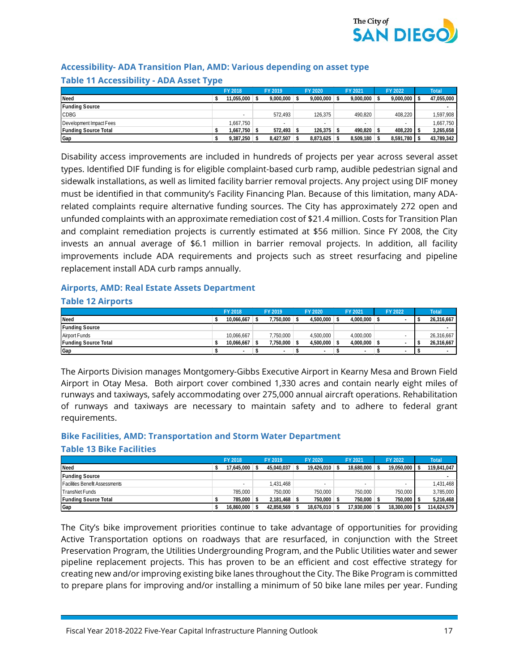

#### **Accessibility- ADA Transition Plan, AMD: Various depending on asset type Table 11 Accessibility - ADA Asset Type**

|                             | FY 2018                  | FY 2019                  | FY 2020   | FY 2021   | FY 2022   | <b>Total</b> |
|-----------------------------|--------------------------|--------------------------|-----------|-----------|-----------|--------------|
| <b>Need</b>                 | 11.055.000               | 9.000.000                | 9.000.000 | 9.000.000 | 9,000,000 | 47,055,000   |
| <b>Funding Source</b>       |                          |                          |           |           |           |              |
| <b>CDBG</b>                 | $\overline{\phantom{a}}$ | 572.493                  | 126.375   | 490.820   | 408,220   | ,597,908     |
| Development Impact Fees     | 1.667.750                | $\overline{\phantom{a}}$ | $\sim$    | $\sim$    |           | 1.667.750    |
| <b>Funding Source Total</b> | 1.667.750                | $572.493$ \$             | 126.375   | 490.820   | 408.220   | 3,265,658    |
| Gap                         | 9.387.250                | 8.427.507                | 8.873.625 | 8,509,180 | 8,591,780 | 43,789,342   |

Disability access improvements are included in hundreds of projects per year across several asset types. Identified DIF funding is for eligible complaint-based curb ramp, audible pedestrian signal and sidewalk installations, as well as limited facility barrier removal projects. Any project using DIF money must be identified in that community's Facility Financing Plan. Because of this limitation, many ADArelated complaints require alternative funding sources. The City has approximately 272 open and unfunded complaints with an approximate remediation cost of \$21.4 million. Costs for Transition Plan and complaint remediation projects is currently estimated at \$56 million. Since FY 2008, the City invests an annual average of \$6.1 million in barrier removal projects. In addition, all facility improvements include ADA requirements and projects such as street resurfacing and pipeline replacement install ADA curb ramps annually.

#### **Airports, AMD: Real Estate Assets Department**

#### **Table 12 Airports**

|                             | FY 2018                  | FY 2019   | FY 2020   | FY 2021                  | FY 2022 | <b>Total</b> |
|-----------------------------|--------------------------|-----------|-----------|--------------------------|---------|--------------|
| Need                        | 10.066.667               | 7.750.000 | 4.500.000 | 4.000.000                |         | 26,316,667   |
| <b>Funding Source</b>       |                          |           |           |                          |         |              |
| Airport Funds               | 10.066.667               | 7,750,000 | 4.500.000 | 4,000,000                |         | 26,316,667   |
| <b>Funding Source Total</b> | 10.066.667               | .750,000  | 4.500.000 | 4.000.000                |         | 26,316,667   |
| Gap                         | $\overline{\phantom{a}}$ |           |           | $\overline{\phantom{0}}$ |         |              |

The Airports Division manages Montgomery-Gibbs Executive Airport in Kearny Mesa and Brown Field Airport in Otay Mesa. Both airport cover combined 1,330 acres and contain nearly eight miles of runways and taxiways, safely accommodating over 275,000 annual aircraft operations. Rehabilitation of runways and taxiways are necessary to maintain safety and to adhere to federal grant requirements.

## **Bike Facilities, AMD: Transportation and Storm Water Department**

#### **Table 13 Bike Facilities**

|                                       | FY 2018    | FY 2019        | FY 2020                  | FY 2021                  | FY 2022    | <b>Total</b> |
|---------------------------------------|------------|----------------|--------------------------|--------------------------|------------|--------------|
| Need                                  | 17.645.000 | 45.040.037     | 19.426.010               | 18.680.000               | 19.050.000 | 119,841,047  |
| <b>Funding Source</b>                 |            |                |                          |                          |            |              |
| <b>Facilities Benefit Assessments</b> |            | .431.468       | $\overline{\phantom{a}}$ | $\overline{\phantom{a}}$ |            | 1,431,468    |
| TransNet Funds                        | 785.000    | 750.000        | 750.000                  | 750.000                  | 750,000    | 3,785,000    |
| Funding Source Total                  | 785.000    | $2.181.468$ \$ | 750.000                  | 750.000                  | 750.000    | 5,216,468    |
| Gap                                   | 16.860.000 | 42.858.569     | 18.676.010               | 17.930.000               | 18,300,000 | 114,624,579  |

The City's bike improvement priorities continue to take advantage of opportunities for providing Active Transportation options on roadways that are resurfaced, in conjunction with the Street Preservation Program, the Utilities Undergrounding Program, and the Public Utilities water and sewer pipeline replacement projects. This has proven to be an efficient and cost effective strategy for creating new and/or improving existing bike lanes throughout the City. The Bike Program is committed to prepare plans for improving and/or installing a minimum of 50 bike lane miles per year. Funding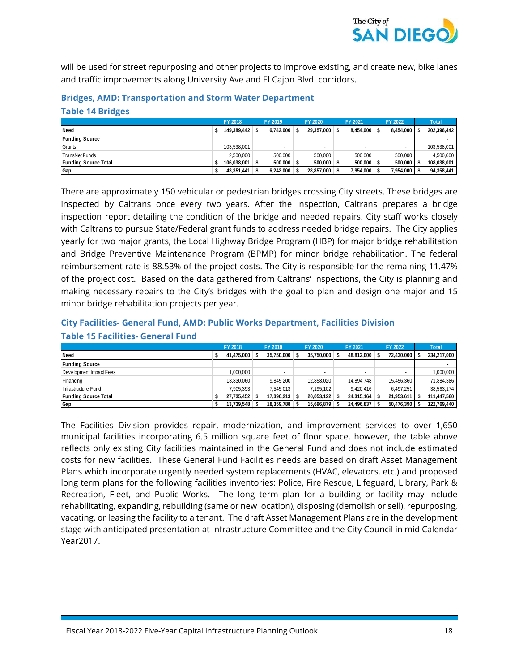

will be used for street repurposing and other projects to improve existing, and create new, bike lanes and traffic improvements along University Ave and El Cajon Blvd. corridors.

#### **Bridges, AMD: Transportation and Storm Water Department Table 14 Bridges**

|                             | FY 2018          | FY 2019      | FY 2020    | FY 2021        | FY 2022   | <b>Total</b> |
|-----------------------------|------------------|--------------|------------|----------------|-----------|--------------|
| Need                        | 149.389.442      | 6.742.000    | 29.357.000 | 8.454.000      | 8.454.000 | 202,396,442  |
| <b>Funding Source</b>       |                  |              |            |                |           |              |
| Grants                      | 103.538.001      |              | $\sim$     | $\sim$         |           | 103,538,001  |
| TransNet Funds              | 2.500.000        | 500.000      | 500.000    | 500.000        | 500.000   | 4,500,000    |
| <b>Funding Source Total</b> | $106.038.001$ \$ | $500.000$ \$ | 500.000    | $500.000$ \ \$ | 500,000   | 108,038,001  |
| Gap                         | $43,351,441$ \$  | 6.242.000    | 28,857,000 | 7,954,000 \$   | ,954,000  | 94,358,441   |

There are approximately 150 vehicular or pedestrian bridges crossing City streets. These bridges are inspected by Caltrans once every two years. After the inspection, Caltrans prepares a bridge inspection report detailing the condition of the bridge and needed repairs. City staff works closely with Caltrans to pursue State/Federal grant funds to address needed bridge repairs. The City applies yearly for two major grants, the Local Highway Bridge Program (HBP) for major bridge rehabilitation and Bridge Preventive Maintenance Program (BPMP) for minor bridge rehabilitation. The federal reimbursement rate is 88.53% of the project costs. The City is responsible for the remaining 11.47% of the project cost. Based on the data gathered from Caltrans' inspections, the City is planning and making necessary repairs to the City's bridges with the goal to plan and design one major and 15 minor bridge rehabilitation projects per year.

#### **City Facilities- General Fund, AMD: Public Works Department, Facilities Division Table 15 Facilities- General Fund**

|                         | FY 2018    | FY 2019         | FY 2020                  | FY 2021      | FY 2022    | <b>Total</b> |
|-------------------------|------------|-----------------|--------------------------|--------------|------------|--------------|
| Need                    | 41,475,000 | 35.750.000      | 35,750,000               | 48,812,000   | 72,430,000 | 234,217,000  |
| <b>Funding Source</b>   |            |                 |                          |              |            |              |
| Development Impact Fees | 1,000,000  | $\sim$          | $\overline{\phantom{a}}$ | $\sim$       |            | 000,000      |
| Financing               | 18,830,060 | 9,845,200       | 12,858,020               | 14,894,748   | 15,456,360 | 71,884,386   |
| Infrastructure Fund     | 7.905.393  | 7,545,013       | 7.195.102                | 9.420.416    | 6.497.251  | 38,563,174   |
| Funding Source Total    | 27.735.452 | $17.390.213$ \$ | 20,053,122               | 24.315.164 \ | 21,953,611 | 111,447,560  |
| Gap                     | 13,739,548 | 18,359,788 \$   | 15.696.879               | 24,496,837   | 50,476,390 | 122,769,440  |

The Facilities Division provides repair, modernization, and improvement services to over 1,650 municipal facilities incorporating 6.5 million square feet of floor space, however, the table above reflects only existing City facilities maintained in the General Fund and does not include estimated costs for new facilities. These General Fund Facilities needs are based on draft Asset Management Plans which incorporate urgently needed system replacements (HVAC, elevators, etc.) and proposed long term plans for the following facilities inventories: Police, Fire Rescue, Lifeguard, Library, Park & Recreation, Fleet, and Public Works. The long term plan for a building or facility may include rehabilitating, expanding, rebuilding (same or new location), disposing (demolish or sell), repurposing, vacating, or leasing the facility to a tenant. The draft Asset Management Plans are in the development stage with anticipated presentation at Infrastructure Committee and the City Council in mid Calendar Year2017.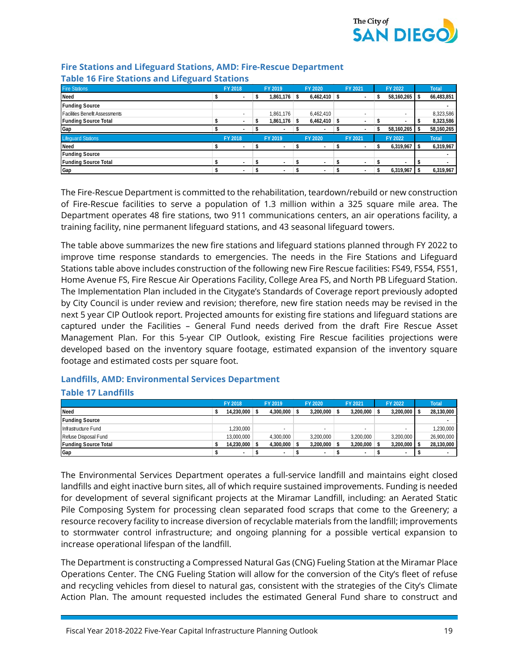

| Table To Fire Stations and Eneguard Stations |                |                          |                          |                |                          |            |              |
|----------------------------------------------|----------------|--------------------------|--------------------------|----------------|--------------------------|------------|--------------|
| <b>Fire Stations</b>                         | <b>FY 2018</b> |                          | FY 2019                  | <b>FY 2020</b> | FY 2021                  | FY 2022    | <b>Total</b> |
| Need                                         |                |                          | 1,861,176 \$             | 6,462,410      |                          | 58,160,265 | 66,483,851   |
| <b>Funding Source</b>                        |                |                          |                          |                |                          |            |              |
| <b>Facilities Benefit Assessments</b>        |                | $\sim$                   | 1,861,176                | 6,462,410      | $\sim$                   | $\sim$     | 8,323,586    |
| <b>Funding Source Total</b>                  |                |                          | 1,861,176                | 6,462,410      | ٠                        |            | 8,323,586    |
| Gap                                          |                |                          | $\overline{\phantom{a}}$ |                |                          | 58,160,265 | 58,160,265   |
| <b>Lifeguard Stations</b>                    | FY 2018        |                          | FY 2019                  | FY 2020        | FY 2021                  | FY 2022    | <b>Total</b> |
| Need                                         |                |                          | $\overline{\phantom{a}}$ |                |                          | 6,319,967  | 6,319,967    |
| <b>Funding Source</b>                        |                |                          |                          |                |                          |            |              |
| <b>Funding Source Total</b>                  |                | $\overline{\phantom{a}}$ | $\overline{\phantom{a}}$ |                | ٠                        | ۰          |              |
| Gap                                          |                | $\overline{\phantom{a}}$ | ٠                        |                | $\overline{\phantom{a}}$ | 6,319,967  | 6,319,967    |

#### **Fire Stations and Lifeguard Stations, AMD: Fire-Rescue Department Table 16 Fire Stations and Lifeguard Stations**

The Fire-Rescue Department is committed to the rehabilitation, teardown/rebuild or new construction of Fire-Rescue facilities to serve a population of 1.3 million within a 325 square mile area. The Department operates 48 fire stations, two 911 communications centers, an air operations facility, a training facility, nine permanent lifeguard stations, and 43 seasonal lifeguard towers.

The table above summarizes the new fire stations and lifeguard stations planned through FY 2022 to improve time response standards to emergencies. The needs in the Fire Stations and Lifeguard Stations table above includes construction of the following new Fire Rescue facilities: FS49, FS54, FS51, Home Avenue FS, Fire Rescue Air Operations Facility, College Area FS, and North PB Lifeguard Station. The Implementation Plan included in the Citygate's Standards of Coverage report previously adopted by City Council is under review and revision; therefore, new fire station needs may be revised in the next 5 year CIP Outlook report. Projected amounts for existing fire stations and lifeguard stations are captured under the Facilities – General Fund needs derived from the draft Fire Rescue Asset Management Plan. For this 5-year CIP Outlook, existing Fire Rescue facilities projections were developed based on the inventory square footage, estimated expansion of the inventory square footage and estimated costs per square foot.

## **Landfills, AMD: Environmental Services Department**

#### **Table 17 Landfills**

|                             | FY 2018                  | FY 2019                  | FY 2020                  | FY 2021                  | FY 2022      | <b>Total</b> |
|-----------------------------|--------------------------|--------------------------|--------------------------|--------------------------|--------------|--------------|
| <b>Need</b>                 | 14.230.000               | $4.300.000$ \$           | 3.200.000                | $3.200.000$ \ \$         | 3,200,000 \$ | 28,130,000   |
| <b>Funding Source</b>       |                          |                          |                          |                          |              |              |
| Infrastructure Fund         | 1,230,000                | $\overline{\phantom{a}}$ | $\overline{\phantom{a}}$ | $\overline{\phantom{a}}$ | $\sim$       | 1,230,000    |
| Refuse Disposal Fund        | 13.000.000               | 4.300.000                | 3.200.000                | 3,200,000                | 3.200.000    | 26,900,000   |
| <b>Funding Source Total</b> | 14,230,000               | $4,300,000$ \$           | 3,200,000                | $3,200,000$ \$           | 3,200,000 \$ | 28,130,000   |
| Gap                         | $\overline{\phantom{a}}$ | $\overline{\phantom{a}}$ |                          | $\overline{\phantom{a}}$ |              |              |

The Environmental Services Department operates a full-service landfill and maintains eight closed landfills and eight inactive burn sites, all of which require sustained improvements. Funding is needed for development of several significant projects at the Miramar Landfill, including: an Aerated Static Pile Composing System for processing clean separated food scraps that come to the Greenery; a resource recovery facility to increase diversion of recyclable materials from the landfill; improvements to stormwater control infrastructure; and ongoing planning for a possible vertical expansion to increase operational lifespan of the landfill.

The Department is constructing a Compressed Natural Gas (CNG) Fueling Station at the Miramar Place Operations Center. The CNG Fueling Station will allow for the conversion of the City's fleet of refuse and recycling vehicles from diesel to natural gas, consistent with the strategies of the City's Climate Action Plan. The amount requested includes the estimated General Fund share to construct and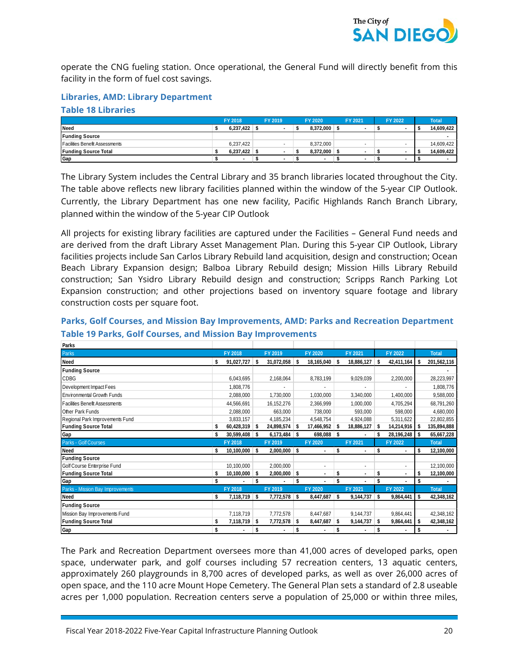

operate the CNG fueling station. Once operational, the General Fund will directly benefit from this facility in the form of fuel cost savings.

#### **Libraries, AMD: Library Department**

#### **Table 18 Libraries**

|                                       | FY 2018   | FY 2019                  | FY 2020   | FY 2021                  | FY 2022 | <b>Total</b> |
|---------------------------------------|-----------|--------------------------|-----------|--------------------------|---------|--------------|
| Need                                  | 6,237,422 |                          | 8,372,000 |                          |         | 14,609,422   |
| <b>Funding Source</b>                 |           |                          |           |                          |         |              |
| <b>Facilities Benefit Assessments</b> | 6.237.422 | $\sim$                   | 8.372.000 |                          |         | 14.609.422   |
| <b>Funding Source Total</b>           | 6.237.422 | . .                      | 8.372.000 | $\overline{\phantom{a}}$ |         | 14,609,422   |
| Gap                                   |           | $\overline{\phantom{a}}$ |           | $\overline{\phantom{a}}$ |         |              |

The Library System includes the Central Library and 35 branch libraries located throughout the City. The table above reflects new library facilities planned within the window of the 5-year CIP Outlook. Currently, the Library Department has one new facility, Pacific Highlands Ranch Branch Library, planned within the window of the 5-year CIP Outlook

All projects for existing library facilities are captured under the Facilities – General Fund needs and are derived from the draft Library Asset Management Plan. During this 5-year CIP Outlook, Library facilities projects include San Carlos Library Rebuild land acquisition, design and construction; Ocean Beach Library Expansion design; Balboa Library Rebuild design; Mission Hills Library Rebuild construction; San Ysidro Library Rebuild design and construction; Scripps Ranch Parking Lot Expansion construction; and other projections based on inventory square footage and library construction costs per square foot.

| Parks                                 |                  |    |                |    |                 |    |                          |    |            |     |              |
|---------------------------------------|------------------|----|----------------|----|-----------------|----|--------------------------|----|------------|-----|--------------|
| Parks                                 | FY 2018          |    | FY 2019        |    | FY 2020         |    | FY 2021                  |    | FY 2022    |     | <b>Total</b> |
| <b>Need</b>                           | \$<br>91,027,727 | \$ | 31,072,058 \$  |    | 18,165,040      | s  | 18,886,127               | -S | 42,411,164 | s   | 201,562,116  |
| <b>Funding Source</b>                 |                  |    |                |    |                 |    |                          |    |            |     |              |
| CDBG                                  | 6,043,695        |    | 2,168,064      |    | 8,783,199       |    | 9,029,039                |    | 2,200,000  |     | 28,223,997   |
| Development Impact Fees               | 1,808,776        |    |                |    |                 |    |                          |    |            |     | 1,808,776    |
| <b>Environmental Growth Funds</b>     | 2,088,000        |    | 1,730,000      |    | 1,030,000       |    | 3,340,000                |    | 1,400,000  |     | 9,588,000    |
| <b>Facilities Benefit Assessments</b> | 44,566,691       |    | 16,152,276     |    | 2,366,999       |    | 1,000,000                |    | 4,705,294  |     | 68,791,260   |
| Other Park Funds                      | 2,088,000        |    | 663,000        |    | 738,000         |    | 593,000                  |    | 598,000    |     | 4,680,000    |
| Regional Park Improvements Fund       | 3,833,157        |    | 4,185,234      |    | 4,548,754       |    | 4,924,088                |    | 5,311,622  |     | 22,802,855   |
| <b>Funding Source Total</b>           | \$<br>60,428,319 | s. | 24,898,574 \$  |    | $17,466,952$ \$ |    | 18,886,127               | -S | 14,214,916 | -S  | 135,894,888  |
| Gap                                   | \$<br>30,599,408 | \$ | $6,173,484$ \$ |    | $698,088$ \$    |    | $\sim$                   | \$ | 28,196,248 | -S  | 65,667,228   |
| Parks - Golf Courses                  | FY 2018          |    | FY 2019        |    | FY 2020         |    | FY 2021                  |    | FY 2022    |     | <b>Total</b> |
| Need                                  | \$<br>10,100,000 | \$ | $2,000,000$ \$ |    |                 | \$ |                          | \$ |            | \$  | 12,100,000   |
| <b>Funding Source</b>                 |                  |    |                |    |                 |    |                          |    |            |     |              |
| Golf Course Enterprise Fund           | 10,100,000       |    | 2,000,000      |    |                 |    | ×.                       |    |            |     | 12,100,000   |
| <b>Funding Source Total</b>           | \$<br>10,100,000 | \$ | 2,000,000      | \$ |                 | \$ | $\overline{\phantom{a}}$ | \$ |            | Ŝ   | 12,100,000   |
| Gap                                   | \$               | \$ |                | \$ |                 | \$ |                          | \$ |            | \$  |              |
| Parks - Mission Bay Improvements      | FY 2018          |    | FY 2019        |    | FY 2020         |    | FY 2021                  |    | FY 2022    |     | <b>Total</b> |
| <b>Need</b>                           | \$<br>7,118,719  | \$ | $7,772,578$ \$ |    | 8,447,687       | \$ | 9,144,737                | -S | 9,864,441  | s   | 42,348,162   |
| <b>Funding Source</b>                 |                  |    |                |    |                 |    |                          |    |            |     |              |
| Mission Bay Improvements Fund         | 7,118,719        |    | 7,772,578      |    | 8,447,687       |    | 9,144,737                |    | 9,864,441  |     | 42,348,162   |
| <b>Funding Source Total</b>           | \$<br>7,118,719  | \$ | 7,772,578      | 5  | 8,447,687       | \$ | 9,144,737                | s. | 9,864,441  | -\$ | 42,348,162   |
|                                       |                  |    |                |    |                 |    |                          |    |            |     |              |

#### **Parks, Golf Courses, and Mission Bay Improvements, AMD: Parks and Recreation Department Table 19 Parks, Golf Courses, and Mission Bay Improvements**

The Park and Recreation Department oversees more than 41,000 acres of developed parks, open space, underwater park, and golf courses including 57 recreation centers, 13 aquatic centers, approximately 260 playgrounds in 8,700 acres of developed parks, as well as over 26,000 acres of open space, and the 110 acre Mount Hope Cemetery. The General Plan sets a standard of 2.8 useable acres per 1,000 population. Recreation centers serve a population of 25,000 or within three miles,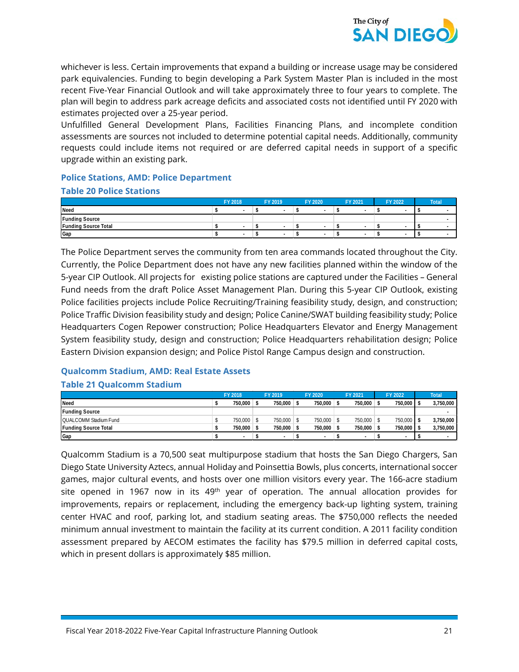

whichever is less. Certain improvements that expand a building or increase usage may be considered park equivalencies. Funding to begin developing a Park System Master Plan is included in the most recent Five-Year Financial Outlook and will take approximately three to four years to complete. The plan will begin to address park acreage deficits and associated costs not identified until FY 2020 with estimates projected over a 25‐year period.

Unfulfilled General Development Plans, Facilities Financing Plans, and incomplete condition assessments are sources not included to determine potential capital needs. Additionally, community requests could include items not required or are deferred capital needs in support of a specific upgrade within an existing park.

#### **Police Stations, AMD: Police Department**

#### **Table 20 Police Stations**

|                             | FY 2018 |  | FY 2019 | FY 2020 | FY 2021 | FY 2022 | Total <sup>1</sup> |
|-----------------------------|---------|--|---------|---------|---------|---------|--------------------|
| Need                        |         |  |         |         |         |         |                    |
| <b>Funding Source</b>       |         |  |         |         |         |         |                    |
| <b>Funding Source Total</b> |         |  |         |         |         |         |                    |
| Gap                         |         |  |         |         |         |         |                    |

The Police Department serves the community from ten area commands located throughout the City. Currently, the Police Department does not have any new facilities planned within the window of the 5-year CIP Outlook. All projects for existing police stations are captured under the Facilities – General Fund needs from the draft Police Asset Management Plan. During this 5-year CIP Outlook, existing Police facilities projects include Police Recruiting/Training feasibility study, design, and construction; Police Traffic Division feasibility study and design; Police Canine/SWAT building feasibility study; Police Headquarters Cogen Repower construction; Police Headquarters Elevator and Energy Management System feasibility study, design and construction; Police Headquarters rehabilitation design; Police Eastern Division expansion design; and Police Pistol Range Campus design and construction.

#### **Qualcomm Stadium, AMD: Real Estate Assets Table 21 Qualcomm Stadium**

|                              | FY 2018 | FY 2019    | FY 2020 | FY 2021    | FY 2022    | <b>Total</b> |
|------------------------------|---------|------------|---------|------------|------------|--------------|
| Need                         | 750.000 | 750.000    | 750.000 | 750.000    | 750.000    | 3,750,000    |
| <b>Funding Source</b>        |         |            |         |            |            |              |
| <b>QUALCOMM Stadium Fund</b> | 750,000 | 750.000 \$ | 750.000 | 750,000    | 750,000 \$ | 3,750,000    |
| <b>Funding Source Total</b>  | 750.000 | 750.000    | 750.000 | 750,000 \$ | 750.000    | 3,750,000    |
| Gap                          |         |            |         |            |            |              |

Qualcomm Stadium is a 70,500 seat multipurpose stadium that hosts the San Diego Chargers, San Diego State University Aztecs, annual Holiday and Poinsettia Bowls, plus concerts, international soccer games, major cultural events, and hosts over one million visitors every year. The 166-acre stadium site opened in 1967 now in its  $49<sup>th</sup>$  year of operation. The annual allocation provides for improvements, repairs or replacement, including the emergency back-up lighting system, training center HVAC and roof, parking lot, and stadium seating areas. The \$750,000 reflects the needed minimum annual investment to maintain the facility at its current condition. A 2011 facility condition assessment prepared by AECOM estimates the facility has \$79.5 million in deferred capital costs, which in present dollars is approximately \$85 million.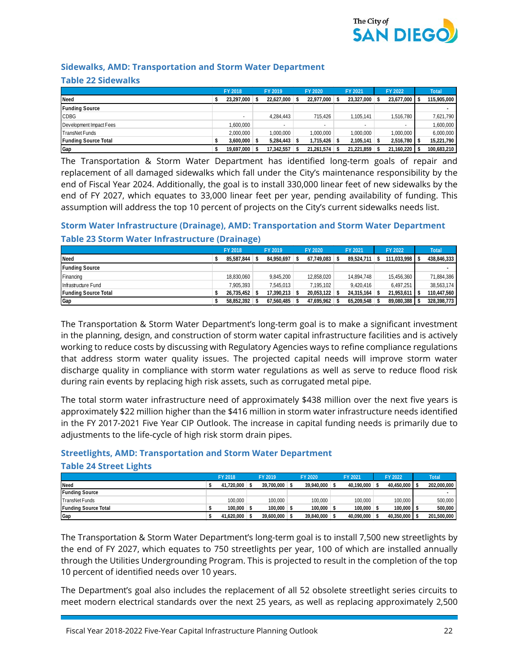

#### **Sidewalks, AMD: Transportation and Storm Water Department**

#### **Table 22 Sidewalks**

|                             | FY 2018    | FY 2019    | FY 2020    | FY 2021         | FY 2022       |     | <b>Total</b> |
|-----------------------------|------------|------------|------------|-----------------|---------------|-----|--------------|
| <b>Need</b>                 | 23,297,000 | 22,627,000 | 22,977,000 | $23,327,000$ \$ | 23,677,000    | - 5 | 115,905,000  |
| <b>Funding Source</b>       |            |            |            |                 |               |     |              |
| CDBG                        | $\sim$     | 4,284,443  | 715,426    | 1,105,141       | 1.516.780     |     | 7,621,790    |
| Development Impact Fees     | 1,600,000  | -          | $\sim$     | $\sim$          |               |     | 000,000,1    |
| <b>TransNetFunds</b>        | 2.000.000  | 000,000,1  | 1,000,000  | 1.000.000       | 1.000.000     |     | 6,000,000    |
| <b>Funding Source Total</b> | 3.600.000  | 5.284.443  | 1.715.426  | 2,105,141       | $2.516.780$ S |     | 15,221,790   |
| Gap                         | 19,697,000 | 17.342.557 | 21,261,574 | 21,221,859      | 21,160,220 \$ |     | 100,683,210  |

The Transportation & Storm Water Department has identified long-term goals of repair and replacement of all damaged sidewalks which fall under the City's maintenance responsibility by the end of Fiscal Year 2024. Additionally, the goal is to install 330,000 linear feet of new sidewalks by the end of FY 2027, which equates to 33,000 linear feet per year, pending availability of funding. This assumption will address the top 10 percent of projects on the City's current sidewalks needs list.

#### **Storm Water Infrastructure (Drainage), AMD: Transportation and Storm Water Department Table 23 Storm Water Infrastructure (Drainage)**

|                             | FY 2018    | FY 2019           | FY 2020    | FY 2021    | FY 2022        | <b>Total</b> |
|-----------------------------|------------|-------------------|------------|------------|----------------|--------------|
| Need                        | 85,587,844 | 84.950.697        | 67,749,083 | 89,524,711 | 111,033,998 \$ | 438,846,333  |
| <b>Funding Source</b>       |            |                   |            |            |                |              |
| Financing                   | 18,830,060 | 9,845,200         | 12,858,020 | 14,894,748 | 15,456,360     | 71,884,386   |
| Infrastructure Fund         | 7.905.393  | 7.545.013         | 7.195.102  | 9.420.416  | 6.497.251      | 38,563,174   |
| <b>Funding Source Total</b> | 26.735.452 | $17.390.213$ \ \$ | 20.053.122 | 24.315.164 | 21,953,611     | 110,447,560  |
| Gap                         | 58,852,392 | 67.560.485        | 47.695.962 | 65.209.548 | 89,080,388     | 328,398,773  |

The Transportation & Storm Water Department's long-term goal is to make a significant investment in the planning, design, and construction of storm water capital infrastructure facilities and is actively working to reduce costs by discussing with Regulatory Agencies ways to refine compliance regulations that address storm water quality issues. The projected capital needs will improve storm water discharge quality in compliance with storm water regulations as well as serve to reduce flood risk during rain events by replacing high risk assets, such as corrugated metal pipe.

The total storm water infrastructure need of approximately \$438 million over the next five years is approximately \$22 million higher than the \$416 million in storm water infrastructure needs identified in the FY 2017-2021 Five Year CIP Outlook. The increase in capital funding needs is primarily due to adjustments to the life-cycle of high risk storm drain pipes.

## **Streetlights, AMD: Transportation and Storm Water Department**

#### **Table 24 Street Lights**

|                       | FY 2018        | FY 2019    | FY 2020    | FY 2021    | FY 2022    | Total       |
|-----------------------|----------------|------------|------------|------------|------------|-------------|
| Need                  | 41.720.000     | 39.700.000 | 39.940.000 | 40.190.000 | 40.450.000 | 202,000,000 |
| <b>Funding Source</b> |                |            |            |            |            |             |
| TransNet Funds        | 100.000        | 100.000    | 100.000    | 100.000    | 100.000    | 500,000     |
| Funding Source Total  | $100.000$ \ \$ | 100.000    | 100.000    | 100,000    | 100.000    | 500,000     |
| Gap                   | 41.620.000 \$  | 39.600.000 | 39.840.000 | 40.090.000 | 40,350,000 | 201,500,000 |

The Transportation & Storm Water Department's long-term goal is to install 7,500 new streetlights by the end of FY 2027, which equates to 750 streetlights per year, 100 of which are installed annually through the Utilities Undergrounding Program. This is projected to result in the completion of the top 10 percent of identified needs over 10 years.

The Department's goal also includes the replacement of all 52 obsolete streetlight series circuits to meet modern electrical standards over the next 25 years, as well as replacing approximately 2,500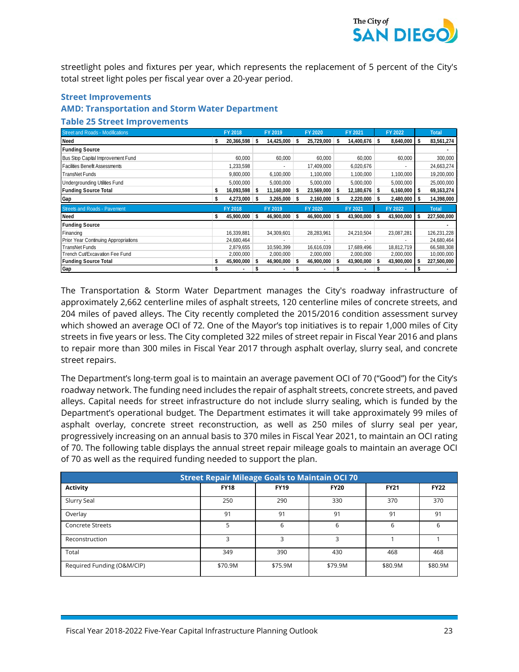

streetlight poles and fixtures per year, which represents the replacement of 5 percent of the City's total street light poles per fiscal year over a 20-year period.

#### **Street Improvements**

#### **AMD: Transportation and Storm Water Department**

#### **Table 25 Street Improvements**

| <b>Street and Roads - Modifications</b> |   | FY 2018    |    | FY 2019         |    | FY 2020    |    | FY 2021    |    | FY 2022    |     | <b>Total</b> |
|-----------------------------------------|---|------------|----|-----------------|----|------------|----|------------|----|------------|-----|--------------|
| Need                                    | S | 20,366,598 | Ŝ. | $14,425,000$ \$ |    | 25,729,000 | Ŝ. | 14,400,676 | -S | 8,640,000  | -S  | 83,561,274   |
| <b>Funding Source</b>                   |   |            |    |                 |    |            |    |            |    |            |     |              |
| Bus Stop Capital Improvement Fund       |   | 60,000     |    | 60,000          |    | 60,000     |    | 60,000     |    | 60,000     |     | 300,000      |
| <b>Facilities Benefit Assessments</b>   |   | 1,233,598  |    |                 |    | 17,409,000 |    | 6,020,676  |    |            |     | 24,663,274   |
| TransNet Funds                          |   | 9,800,000  |    | 6,100,000       |    | 1,100,000  |    | 1,100,000  |    | 1,100,000  |     | 19,200,000   |
| <b>Undergrounding Utilities Fund</b>    |   | 5,000,000  |    | 5,000,000       |    | 5,000,000  |    | 5,000,000  |    | 5,000,000  |     | 25,000,000   |
| <b>Funding Source Total</b>             | S | 16,093,598 | -S | $11,160,000$ \$ |    | 23,569,000 | S  | 12,180,676 | -S | 6,160,000  | -\$ | 69, 163, 274 |
| Gap                                     |   | 4,273,000  | \$ | 3,265,000       | -S | 2,160,000  |    | 2,220,000  |    | 2,480,000  | -S  | 14,398,000   |
| <b>Streets and Roads - Pavement</b>     |   | FY 2018    |    | FY 2019         |    | FY 2020    |    | FY 2021    |    | FY 2022    |     | <b>Total</b> |
| Need                                    | S | 45,900,000 | S  | 46,900,000      | -S | 46,900,000 | S  | 43,900,000 |    | 43,900,000 | -\$ | 227,500,000  |
| <b>Funding Source</b>                   |   |            |    |                 |    |            |    |            |    |            |     |              |
| Financing                               |   | 16,339,881 |    | 34.309.601      |    | 28,283,961 |    | 24,210,504 |    | 23,087,281 |     | 126,231,228  |
| Prior Year Continuing Appropriations    |   | 24,680,464 |    |                 |    |            |    |            |    |            |     | 24,680,464   |
| TransNet Funds                          |   | 2,879,655  |    | 10,590,399      |    | 16,616,039 |    | 17,689,496 |    | 18.812.719 |     | 66,588,308   |
| Trench Cut/Excavation Fee Fund          |   | 2,000,000  |    | 2,000,000       |    | 2,000,000  |    | 2,000,000  |    | 2,000,000  |     | 10,000,000   |
| <b>Funding Source Total</b>             |   | 45,900,000 | S. | 46,900,000      |    | 46,900,000 |    | 43,900,000 |    | 43,900,000 | -\$ | 227,500,000  |
| Gap                                     |   | ٠          | \$ |                 |    |            |    |            |    | ٠          |     |              |

The Transportation & Storm Water Department manages the City's roadway infrastructure of approximately 2,662 centerline miles of asphalt streets, 120 centerline miles of concrete streets, and 204 miles of paved alleys. The City recently completed the 2015/2016 condition assessment survey which showed an average OCI of 72. One of the Mayor's top initiatives is to repair 1,000 miles of City streets in five years or less. The City completed 322 miles of street repair in Fiscal Year 2016 and plans to repair more than 300 miles in Fiscal Year 2017 through asphalt overlay, slurry seal, and concrete street repairs.

The Department's long-term goal is to maintain an average pavement OCI of 70 ("Good") for the City's roadway network. The funding need includes the repair of asphalt streets, concrete streets, and paved alleys. Capital needs for street infrastructure do not include slurry sealing, which is funded by the Department's operational budget. The Department estimates it will take approximately 99 miles of asphalt overlay, concrete street reconstruction, as well as 250 miles of slurry seal per year, progressively increasing on an annual basis to 370 miles in Fiscal Year 2021, to maintain an OCI rating of 70. The following table displays the annual street repair mileage goals to maintain an average OCI of 70 as well as the required funding needed to support the plan.

|                            | <b>Street Repair Mileage Goals to Maintain OCI 70</b> |             |             |             |             |
|----------------------------|-------------------------------------------------------|-------------|-------------|-------------|-------------|
| <b>Activity</b>            | <b>FY18</b>                                           | <b>FY19</b> | <b>FY20</b> | <b>FY21</b> | <b>FY22</b> |
| Slurry Seal                | 250                                                   | 290         | 330         | 370         | 370         |
| Overlay                    | 91                                                    | 91          | 91          | 91          | 91          |
| <b>Concrete Streets</b>    | 5                                                     | 6           | 6           | 6           | 6           |
| Reconstruction             | ς                                                     | ς           | ς           |             |             |
| Total                      | 349                                                   | 390         | 430         | 468         | 468         |
| Required Funding (O&M/CIP) | \$70.9M                                               | \$75.9M     | \$79.9M     | \$80.9M     | \$80.9M     |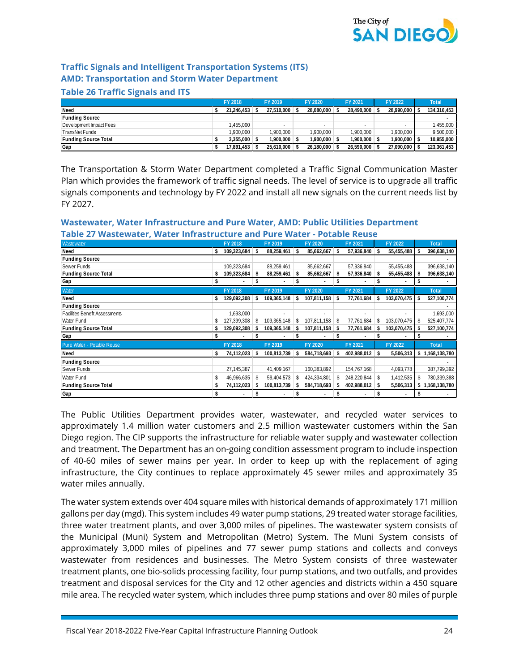

#### **Traffic Signals and Intelligent Transportation Systems (ITS) AMD: Transportation and Storm Water Department**

#### **Table 26 Traffic Signals and ITS**

|                             | FY 2018          | FY 2019      | FY 2020    | FY 2021        | FY 2022       | <b>Total</b> |
|-----------------------------|------------------|--------------|------------|----------------|---------------|--------------|
| Need                        | 21.246.453       | 27.510.000   | 28.080.000 | 28.490.000     | 28,990,000 \$ | 134,316,453  |
| <b>Funding Source</b>       |                  |              |            |                |               |              |
| Development Impact Fees     | 1.455.000        | -            |            |                |               | 1,455,000    |
| TransNet Funds              | 1.900.000        | .900.000     | 1.900.000  | 1.900.000      | .900.000      | 9,500,000    |
| <b>Funding Source Total</b> | $3.355.000$ \ \$ | 1.900.000 \$ | 1.900.000  | $1.900.000$ \$ | 1,900,000     | 10,955,000   |
| Gap                         | 17.891.453       | 25.610.000   | 26.180.000 | 26.590.000     | 27,090,000 \$ | 123,361,453  |

The Transportation & Storm Water Department completed a Traffic Signal Communication Master Plan which provides the framework of traffic signal needs. The level of service is to upgrade all traffic signals components and technology by FY 2022 and install all new signals on the current needs list by FY 2027.

#### Wastewater **FY 2018 FY 2019 FY 2020 FY 2021 FY 2022 Total Need \$ 109,323,684 \$ 88,259,461 \$ 85,662,667 \$ 57,936,840 \$ 55,455,488 \$ 396,638,140 Funding Source -** Sewer Funds 109,323,684 | 88,259,461 | 85,662,667 | 57,936,840 | 55,455,488 | 396,638,140 **Funding Source Total \$ 109,323,684 \$ 88,259,461 \$ 85,662,667 \$ 57,936,840 \$ 55,455,488 \$ 396,638,140 Gap \$ - \$ - \$ - \$ - \$ - \$ -** Water **FY 2018 FY 2019 FY 2020 FY 2021 FY 2022 Total Need \$ 129,092,308 \$ 109,365,148 \$ 107,811,158 \$ 77,761,684 \$ 103,070,475 \$ 527,100,774 Funding Source -** Facilities Benefit Assessments 1,693,000 1,693,000 1,693,000 1,693,000 1,693,000 1,693,000 1,693,000 1,693,000 1,693,000 1,693,000 1,693,000 1,693,000 1,693,000 1,693,000 1,693,000 1,693,000 1,693,000 1,693,000 1,693,000 1 Water Fund 5 127,399,308 \$ 109,365,148 \$ 107,811,158 \$ 77,761,684 \$ 103,070,475 **Funding Source Total \$ 129,092,308 \$ 109,365,148 \$ 107,811,158 \$ 77,761,684 \$ 103,070,475 \$ 527,100,774 Gap \$ - \$ - \$ - \$ - \$ - \$ -** Pure Water - Potable Reuse **FY 2018 FY 2019 FY 2020 FY 2021 FY 2022 Total Need \$ 74,112,023 \$ 100,813,739 \$ 584,718,693 \$ 402,988,012 \$ 5,506,313 \$ 1,168,138,780 Funding Source -** Sewer Funds 27,145,387 41,409,167 160,383,892 154,767,168 4,093,778 387,799,392 Water Fund \$ 46,966,635 \$ 59,404,573 \$ 424,334,801 \$ 248,220,844 \$ 1,412,535 \$ 780,339,388 **Funding Source Total \$ 74,112,023 \$ 100,813,739 \$ 584,718,693 \$ 402,988,012 \$ 5,506,313 \$ 1,168,138,780 Gap \$ - \$ - \$ - \$ - \$ - \$ -**

#### **Wastewater, Water Infrastructure and Pure Water, AMD: Public Utilities Department Table 27 Wastewater, Water Infrastructure and Pure Water - Potable Reuse**

The Public Utilities Department provides water, wastewater, and recycled water services to approximately 1.4 million water customers and 2.5 million wastewater customers within the San Diego region. The CIP supports the infrastructure for reliable water supply and wastewater collection and treatment. The Department has an on-going condition assessment program to include inspection of 40-60 miles of sewer mains per year. In order to keep up with the replacement of aging infrastructure, the City continues to replace approximately 45 sewer miles and approximately 35 water miles annually.

The water system extends over 404 square miles with historical demands of approximately 171 million gallons per day (mgd). This system includes 49 water pump stations, 29 treated water storage facilities, three water treatment plants, and over 3,000 miles of pipelines. The wastewater system consists of the Municipal (Muni) System and Metropolitan (Metro) System. The Muni System consists of approximately 3,000 miles of pipelines and 77 sewer pump stations and collects and conveys wastewater from residences and businesses. The Metro System consists of three wastewater treatment plants, one bio-solids processing facility, four pump stations, and two outfalls, and provides treatment and disposal services for the City and 12 other agencies and districts within a 450 square mile area. The recycled water system, which includes three pump stations and over 80 miles of purple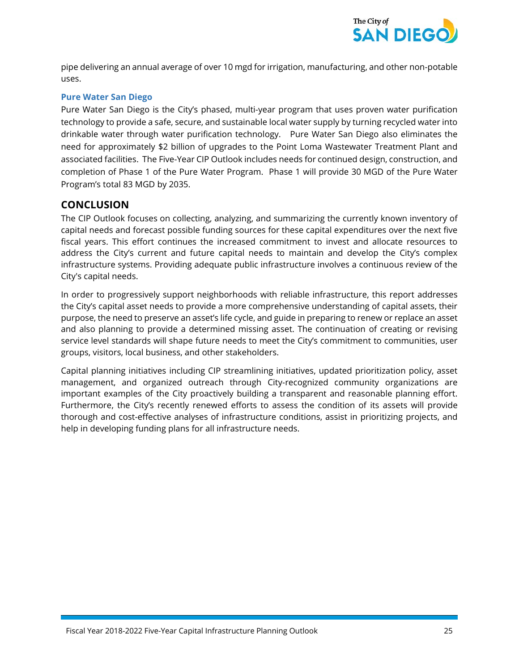

pipe delivering an annual average of over 10 mgd for irrigation, manufacturing, and other non-potable uses.

#### **Pure Water San Diego**

Pure Water San Diego is the City's phased, multi-year program that uses proven water purification technology to provide a safe, secure, and sustainable local water supply by turning recycled water into drinkable water through water purification technology. Pure Water San Diego also eliminates the need for approximately \$2 billion of upgrades to the Point Loma Wastewater Treatment Plant and associated facilities. The Five-Year CIP Outlook includes needs for continued design, construction, and completion of Phase 1 of the Pure Water Program. Phase 1 will provide 30 MGD of the Pure Water Program's total 83 MGD by 2035.

#### **CONCLUSION**

The CIP Outlook focuses on collecting, analyzing, and summarizing the currently known inventory of capital needs and forecast possible funding sources for these capital expenditures over the next five fiscal years. This effort continues the increased commitment to invest and allocate resources to address the City's current and future capital needs to maintain and develop the City's complex infrastructure systems. Providing adequate public infrastructure involves a continuous review of the City's capital needs.

In order to progressively support neighborhoods with reliable infrastructure, this report addresses the City's capital asset needs to provide a more comprehensive understanding of capital assets, their purpose, the need to preserve an asset's life cycle, and guide in preparing to renew or replace an asset and also planning to provide a determined missing asset. The continuation of creating or revising service level standards will shape future needs to meet the City's commitment to communities, user groups, visitors, local business, and other stakeholders.

Capital planning initiatives including CIP streamlining initiatives, updated prioritization policy, asset management, and organized outreach through City-recognized community organizations are important examples of the City proactively building a transparent and reasonable planning effort. Furthermore, the City's recently renewed efforts to assess the condition of its assets will provide thorough and cost-effective analyses of infrastructure conditions, assist in prioritizing projects, and help in developing funding plans for all infrastructure needs.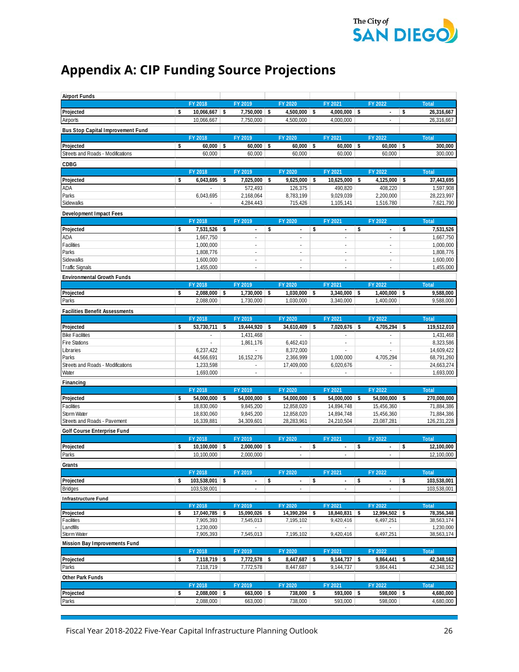

## **Appendix A: CIP Funding Source Projections**

| <b>Airport Funds</b>                     |    |                            |                                                   |                                |                                |          |                            |          |                             |
|------------------------------------------|----|----------------------------|---------------------------------------------------|--------------------------------|--------------------------------|----------|----------------------------|----------|-----------------------------|
|                                          |    | FY 2018                    | FY 2019                                           | FY 2020                        | FY 2021                        |          | FY 2022                    |          | <b>Total</b>                |
| Projected                                | \$ | $10,066,667$ \$            | 7,750,000 \$                                      | $4,500,000$ \$                 | 4,000,000 \$                   |          | $\overline{\phantom{a}}$   | \$       | 26,316,667                  |
| Airports                                 |    | 10,066,667                 | 7,750,000                                         | 4,500,000                      | 4,000,000                      |          | $\sim$                     |          | 26,316,667                  |
| <b>Bus Stop Capital Improvement Fund</b> |    |                            |                                                   |                                |                                |          |                            |          |                             |
|                                          |    | FY 2018                    | FY 2019                                           | FY 2020                        | FY 2021                        |          | FY 2022                    |          | <b>Total</b>                |
| Projected                                | \$ | $60.000$ \$                | 60,000                                            | \$<br>$60,000$ \$              | 60,000                         | <b>S</b> | 60,000                     | <b>S</b> | 300,000                     |
| Streets and Roads - Modifications        |    | 60,000                     | 60,000                                            | 60,000                         | 60,000                         |          | 60,000                     |          | 300,000                     |
| CDBG                                     |    |                            |                                                   |                                |                                |          |                            |          |                             |
|                                          |    | FY 2018                    | FY 2019                                           | FY 2020                        | FY 2021                        |          | FY 2022                    |          | <b>Total</b>                |
| Projected                                | \$ | 6,043,695                  | \$<br>7,025,000                                   | \$<br>$9,625,000$ \$           | 10,625,000                     | \$       | 4,125,000                  | -\$      | 37,443,695                  |
| ADA                                      |    |                            | 572,493                                           | 126,375                        | 490.820                        |          | 408,220                    |          | 1,597,908                   |
| Parks                                    |    | 6,043,695                  | 2,168,064                                         | 8,783,199                      | 9,029,039                      |          | 2,200,000                  |          | 28,223,997                  |
| Sidewalks                                |    |                            | 4,284,443                                         | 715,426                        | 1,105,141                      |          | 1,516,780                  |          | 7,621,790                   |
| Development Impact Fees                  |    |                            |                                                   |                                |                                |          |                            |          |                             |
|                                          |    | FY 2018                    | FY 2019                                           | FY 2020                        | FY 2021                        |          | FY 2022                    |          | <b>Total</b>                |
| Projected                                | \$ | 7,531,526 \$               | ÷                                                 | \$<br>$\blacksquare$           | \$<br>÷                        | \$       | $\overline{\phantom{a}}$   | \$       | 7,531,526                   |
| ADA                                      |    | 1,667,750                  | $\overline{\phantom{a}}$                          |                                |                                |          |                            |          | 1,667,750                   |
| Facilities                               |    | 1,000,000                  | $\overline{\phantom{a}}$                          |                                | ÷,                             |          | ÷.                         |          | 1,000,000                   |
| Parks                                    |    | 1,808,776                  | $\overline{\phantom{a}}$                          | $\sim$<br>÷.                   | ÷.<br>÷,                       |          | ÷.<br>$\sim$               |          | 1,808,776<br>1,600,000      |
| Sidewalks<br><b>Traffic Signals</b>      |    | 1,600,000<br>1,455,000     | $\tilde{\phantom{a}}$<br>$\overline{\phantom{a}}$ | ÷.                             | ÷,                             |          | $\sim$                     |          | 1,455,000                   |
|                                          |    |                            |                                                   |                                |                                |          |                            |          |                             |
| <b>Environmental Growth Funds</b>        |    |                            |                                                   | FY 2020                        | FY 2021                        |          | FY 2022                    |          |                             |
| Projected                                | \$ | FY 2018<br>$2,088,000$ \$  | FY 2019<br>$1,730,000$ \$                         | $1,030,000$ \$                 | $3,340,000$ \$                 |          | $1,400,000$ \$             |          | <b>Total</b><br>9,588,000   |
| Parks                                    |    | 2,088,000                  | 1,730,000                                         | 1,030,000                      | 3,340,000                      |          | 1,400,000                  |          | 9,588,000                   |
|                                          |    |                            |                                                   |                                |                                |          |                            |          |                             |
| <b>Facilities Benefit Assessments</b>    |    | FY 2018                    | FY 2019                                           | FY 2020                        | FY 2021                        |          | FY 2022                    |          |                             |
|                                          | \$ | 53,730,711 \$              | 19,444,920 \$                                     | $34,610,409$ \$                | $7,020,676$ \$                 |          | $4,705,294$ \$             |          | <b>Total</b><br>119,512,010 |
| Projected<br><b>Bike Facilities</b>      |    |                            | 1,431,468                                         |                                |                                |          |                            |          | 1,431,468                   |
| Fire Stations                            |    |                            | 1,861,176                                         | 6,462,410                      | $\blacksquare$                 |          | ÷.                         |          | 8,323,586                   |
| Libraries                                |    | 6,237,422                  |                                                   | 8,372,000                      |                                |          |                            |          | 14,609,422                  |
| Parks                                    |    | 44,566,691                 | 16,152,276                                        | 2,366,999                      | 1,000,000                      |          | 4,705,294                  |          | 68,791,260                  |
| Streets and Roads - Modifications        |    | 1,233,598                  |                                                   | 17,409,000                     | 6,020,676                      |          | ÷.                         |          | 24,663,274                  |
| Water                                    |    | 1,693,000                  | ÷.                                                |                                |                                |          | ÷.                         |          | 1,693,000                   |
| Financing                                |    |                            |                                                   |                                |                                |          |                            |          |                             |
|                                          |    | FY 2018                    | FY 2019                                           | FY 2020                        | FY 2021                        |          | FY 2022                    |          | <b>Total</b>                |
| Projected                                | s  | $54,000,000$ \$            | 54,000,000 \$                                     | $54,000,000$ \$                | $54,000,000$ \$                |          | 54,000,000 \$              |          | 270,000,000                 |
| Facilities                               |    | 18,830,060                 | 9,845,200                                         | 12,858,020                     | 14,894,748                     |          | 15,456,360                 |          | 71,884,386                  |
| Storm Water                              |    | 18,830,060                 | 9,845,200                                         | 12,858,020                     | 14,894,748                     |          | 15,456,360                 |          | 71,884,386                  |
| Streets and Roads - Pavement             |    | 16,339,881                 | 34,309,601                                        | 28,283,961                     | 24,210,504                     |          | 23,087,281                 |          | 126,231,228                 |
| Golf Course Enterprise Fund              |    |                            |                                                   |                                |                                |          |                            |          |                             |
|                                          |    | FY 2018                    | FY 2019                                           | FY 2020                        | FY 2021                        |          | FY 2022                    |          | <b>Total</b>                |
| Projected                                | \$ | $10,100,000$ \$            | $2,000,000$ \$                                    | $\overline{a}$                 | \$<br>$\overline{\phantom{a}}$ | \$       | $\overline{\phantom{a}}$   | \$       | 12,100,000                  |
| Parks                                    |    | 10,100,000                 | 2,000,000                                         | ä,                             | ÷,                             |          | $\sim$                     |          | 12,100,000                  |
| Grants                                   |    |                            |                                                   |                                |                                |          |                            |          |                             |
|                                          |    | FY 2018                    | FY 2019                                           | FY 2020                        | FY 2021                        |          | FY 2022                    |          | Total                       |
| Projected                                | \$ | $103,538,001$ \$           | $\overline{\phantom{a}}$                          | \$<br>$\overline{\phantom{a}}$ | \$<br>$\overline{\phantom{a}}$ | \$       |                            | \$       | 103,538,001                 |
| <b>Bridges</b>                           |    | 103,538,001                |                                                   |                                |                                |          |                            |          | 103,538,001                 |
| <b>Infrastructure Fund</b>               |    |                            |                                                   |                                |                                |          |                            |          |                             |
|                                          |    | FY 2018                    | FY 2019                                           | FY 2020                        | FY 2021                        |          | FY 2022                    |          | <b>Total</b>                |
| Projected<br>Facilities                  | \$ | 17,040,785 \$<br>7,905,393 | 15,090,026 \$<br>7,545,013                        | 14,390,204 \$<br>7,195,102     | 18,840,831 \$<br>9,420,416     |          | 12,994,502 \$<br>6,497,251 |          | 78,356,348<br>38,563,174    |
| Landfills                                |    | 1,230,000                  | ×.                                                | $\overline{\phantom{a}}$       |                                |          |                            |          | 1,230,000                   |
| Storm Water                              |    | 7,905,393                  | 7,545,013                                         | 7,195,102                      | 9,420,416                      |          | 6,497,251                  |          | 38,563,174                  |
| Mission Bay Improvements Fund            |    |                            |                                                   |                                |                                |          |                            |          |                             |
|                                          |    | FY 2018                    | FY 2019                                           | FY 2020                        | FY 2021                        |          | FY 2022                    |          | <b>Total</b>                |
| Projected                                | \$ | 7,118,719                  | \$<br>7,772,578                                   | \$<br>8,447,687                | \$<br>9,144,737                | \$       | 9,864,441                  | \$       | 42,348,162                  |
| Parks                                    |    | 7,118,719                  | 7,772,578                                         | 8,447,687                      | 9,144,737                      |          | 9,864,441                  |          | 42,348,162                  |
| Other Park Funds                         |    |                            |                                                   |                                |                                |          |                            |          |                             |
|                                          |    | FY 2018                    | FY 2019                                           | FY 2020                        | FY 2021                        |          | FY 2022                    |          | <b>Total</b>                |
| Projected                                | \$ | $2,088,000$ \$             | $663,000$ \$                                      | $738,000$ \$                   | 593,000 \$                     |          | 598,000 \$                 |          | 4,680,000                   |
| Parks                                    |    | 2,088,000                  | 663,000                                           | 738,000                        | 593,000                        |          | 598,000                    |          | 4,680,000                   |
|                                          |    |                            |                                                   |                                |                                |          |                            |          |                             |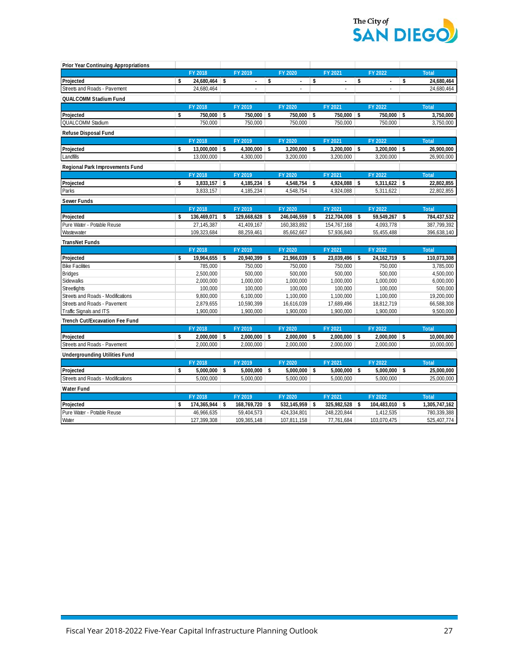

| <b>Prior Year Continuing Appropriations</b> |    |                           |                           |                            |                                |    |                          |                            |
|---------------------------------------------|----|---------------------------|---------------------------|----------------------------|--------------------------------|----|--------------------------|----------------------------|
|                                             |    | FY 2018                   | FY 2019                   | FY 2020                    | FY 2021                        |    | FY 2022                  | <b>Total</b>               |
| Projected                                   | s. | 24,680,464 \$             | $\blacksquare$            | \$<br>$\blacksquare$       | \$<br>$\overline{\phantom{a}}$ | \$ | $\blacksquare$           | \$<br>24,680,464           |
| Streets and Roads - Pavement                |    | 24,680,464                |                           |                            |                                |    |                          | 24,680,464                 |
| QUALCOMM Stadium Fund                       |    |                           |                           |                            |                                |    |                          |                            |
|                                             |    | FY 2018                   | FY 2019                   | FY 2020                    | FY 2021                        |    | FY 2022                  | <b>Total</b>               |
| Projected                                   | s. | 750,000 \$                | 750,000 \$                | 750,000 \$                 | 750,000 \$                     |    | 750,000 \$               | 3,750,000                  |
| <b>QUALCOMM Stadium</b>                     |    | 750,000                   | 750,000                   | 750,000                    | 750,000                        |    | 750,000                  | 3,750,000                  |
| Refuse Disposal Fund                        |    |                           |                           |                            |                                |    |                          |                            |
|                                             |    | FY 2018                   | FY 2019                   | FY 2020                    | FY 2021                        |    | FY 2022                  | <b>Total</b>               |
| Projected                                   | s. | $13,000,000$ \$           | $4,300,000$ \$            | $3,200,000$ \$             | $3,200,000$ \$                 |    | $3,200,000$ \$           | 26,900,000                 |
| Landfills                                   |    | 13,000,000                | 4,300,000                 | 3,200,000                  | 3,200,000                      |    | 3,200,000                | 26,900,000                 |
| Regional Park Improvements Fund             |    |                           |                           |                            |                                |    |                          |                            |
|                                             |    | FY 2018                   | FY 2019                   | FY 2020                    | FY 2021                        |    | FY 2022                  | <b>Total</b>               |
| Projected                                   | \$ | $3,833,157$ \$            | $4,185,234$ \$            | $4,548,754$ \$             | $4,924,088$ \$                 |    | $5,311,622$ \$           | 22,802,855                 |
| Parks                                       |    | 3,833,157                 | 4,185,234                 | 4,548,754                  | 4,924,088                      |    | 5,311,622                | 22,802,855                 |
| Sewer Funds                                 |    |                           |                           |                            |                                |    |                          |                            |
|                                             |    | FY 2018                   | FY 2019                   | FY 2020                    | FY 2021                        |    | FY 2022                  | <b>Total</b>               |
| Projected                                   | \$ | 136,469,071 \$            | 129,668,628 \$            | 246,046,559 \$             | 212,704,008 \$                 |    | 59,549,267 \$            | 784,437,532                |
| Pure Water - Potable Reuse                  |    | 27,145,387                | 41,409,167                | 160,383,892                | 154,767,168                    |    | 4,093,778                | 387,799,392                |
| Wastewater                                  |    | 109,323,684               | 88,259,461                | 85,662,667                 | 57,936,840                     |    | 55,455,488               | 396,638,140                |
| <b>TransNet Funds</b>                       |    |                           |                           |                            |                                |    |                          |                            |
|                                             |    | FY 2018                   | FY 2019                   | FY 2020                    | FY 2021                        |    | FY 2022                  | <b>Total</b>               |
| Projected                                   | Ŝ. | 19,964,655                | \$<br>20,940,399          | \$<br>$21,966,039$ \$      | 23,039,496                     | S. | $24,162,719$ \$          | 110,073,308                |
| <b>Bike Facilities</b>                      |    | 785,000                   | 750,000                   | 750,000                    | 750,000                        |    | 750,000                  | 3,785,000                  |
| <b>Bridges</b>                              |    | 2,500,000                 | 500,000                   | 500,000                    | 500,000                        |    | 500,000                  | 4,500,000                  |
| Sidewalks                                   |    | 2,000,000                 |                           | 1,000,000                  | 1,000,000                      |    |                          | 6,000,000                  |
| Streetlights                                |    |                           | 1,000,000                 |                            |                                |    | 1,000,000                |                            |
|                                             |    | 100,000                   | 100,000                   | 100,000                    | 100,000                        |    | 100,000                  | 500,000                    |
| Streets and Roads - Modifications           |    | 9,800,000                 | 6,100,000                 | 1,100,000                  | 1,100,000                      |    | 1,100,000                | 19,200,000                 |
| Streets and Roads - Pavement                |    | 2,879,655                 | 10,590,399                | 16,616,039                 | 17,689,496                     |    | 18,812,719               | 66,588,308                 |
| Traffic Signals and ITS                     |    | 1,900,000                 | 1,900,000                 | 1,900,000                  | 1,900,000                      |    | 1,900,000                | 9,500,000                  |
| <b>Trench Cut/Excavation Fee Fund</b>       |    |                           |                           |                            |                                |    |                          |                            |
|                                             |    | FY 2018                   | FY 2019                   | FY 2020                    | FY 2021                        |    | FY 2022                  | <b>Total</b>               |
| Projected                                   | \$ | $2,000,000$ \$            | $2,000,000$ \$            | $2,000,000$ \$             | $2,000,000$ \$                 |    | $2,000,000$ \$           | 10,000,000                 |
| Streets and Roads - Pavement                |    | 2,000,000                 | 2,000,000                 | 2,000,000                  | 2,000,000                      |    | 2,000,000                | 10,000,000                 |
| <b>Undergrounding Utilities Fund</b>        |    |                           |                           |                            |                                |    |                          |                            |
|                                             |    | FY 2018                   | FY 2019                   | FY 2020                    | FY 2021                        |    | FY 2022                  | <b>Total</b>               |
| Projected                                   | \$ | $5,000,000$ \$            | $5,000,000$ \$            | $5,000,000$ \$             | $5,000,000$ \$                 |    | $5,000,000$ \$           | 25,000,000                 |
| Streets and Roads - Modifications           |    | 5.000.000                 | 5,000,000                 | 5,000,000                  | 5,000,000                      |    | 5,000,000                | 25,000,000                 |
| <b>Water Fund</b>                           |    |                           |                           |                            |                                |    |                          |                            |
|                                             |    | FY 2018                   | FY 2019                   | FY 2020                    | FY 2021                        |    | FY 2022                  | <b>Total</b>               |
| Projected                                   | \$ | $174,365,944$ \$          | 168,769,720 \$            | 532,145,959 \$             | 325,982,528 \$                 |    | 104,483,010 \$           | 1,305,747,162              |
| Pure Water - Potable Reuse<br>Water         |    | 46,966,635<br>127,399,308 | 59,404,573<br>109,365,148 | 424,334,801<br>107,811,158 | 248,220,844<br>77,761,684      |    | 1,412,535<br>103,070,475 | 780,339,388<br>525,407,774 |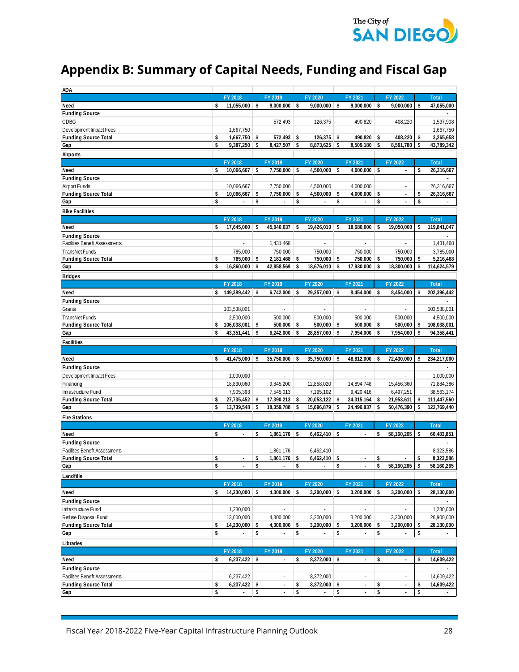

## **Appendix B: Summary of Capital Needs, Funding and Fiscal Gap**

| <b>ADA</b>                                                    |                    |                          |     |                          |            |                          |     |                          |    |                          |                          |
|---------------------------------------------------------------|--------------------|--------------------------|-----|--------------------------|------------|--------------------------|-----|--------------------------|----|--------------------------|--------------------------|
|                                                               |                    | FY 2018                  |     | FY 2019                  |            | FY 2020                  |     | FY 2021                  |    | FY 2022                  | <b>Total</b>             |
| Need                                                          | \$                 | 11,055,000               | -\$ | $9,000,000$ \$           |            | $9,000,000$ \$           |     | $9,000,000$ \$           |    | 9,000,000                | \$<br>47,055,000         |
| <b>Funding Source</b>                                         |                    |                          |     |                          |            |                          |     |                          |    |                          |                          |
| CDBG                                                          |                    |                          |     | 572,493                  |            | 126,375                  |     | 490,820                  |    | 408,220                  | 1,597,908                |
| Development Impact Fees                                       |                    | 1,667,750                |     |                          |            |                          |     |                          |    |                          | 1,667,750                |
| <b>Funding Source Total</b>                                   | \$                 | $1,667,750$ \$           |     | $572,493$ \$             |            | $126,375$ \$             |     | 490,820 \$               |    | 408,220                  | \$<br>3,265,658          |
| Gap                                                           | $\mathbf{\hat{s}}$ | 9,387,250                | \$  | 8,427,507                | \$         | 8,873,625 \$             |     | 8,509,180                | \$ | 8,591,780                | \$<br>43,789,342         |
| Airports                                                      |                    |                          |     |                          |            |                          |     |                          |    |                          |                          |
|                                                               |                    | FY 2018                  |     | FY 2019                  |            | FY 2020                  |     | FY 2021                  |    | FY 2022                  | <b>Total</b>             |
| Need                                                          | \$                 | 10,066,667               | \$  | 7,750,000 \$             |            | $4,500,000$ \$           |     | $4,000,000$ \$           |    | $\overline{a}$           | \$<br>26,316,667         |
| <b>Funding Source</b>                                         |                    |                          |     |                          |            |                          |     |                          |    |                          | $\overline{\phantom{a}}$ |
| Airport Funds                                                 |                    | 10,066,667               |     | 7,750,000                |            | 4,500,000                |     | 4,000,000                |    | $\bar{a}$                | 26,316,667               |
| <b>Funding Source Total</b>                                   | \$                 | 10,066,667               | \$  | 7,750,000                | -\$        | 4,500,000                | \$  | 4,000,000                | \$ | $\blacksquare$           | \$<br>26,316,667         |
| Gap                                                           | \$                 |                          | \$  |                          | \$         |                          | \$  |                          | \$ |                          | \$                       |
| <b>Bike Facilities</b>                                        |                    |                          |     |                          |            |                          |     |                          |    |                          |                          |
|                                                               |                    | FY 2018                  |     | FY 2019                  |            | FY 2020                  |     | FY 2021                  |    | FY 2022                  | <b>Total</b>             |
| Need                                                          | \$                 | 17,645,000               | \$  | 45,040,037               | $\vert$ \$ | $19,426,010$ \$          |     | 18,680,000               | S, | 19,050,000               | \$<br>119,841,047        |
| <b>Funding Source</b>                                         |                    |                          |     |                          |            |                          |     |                          |    |                          |                          |
| <b>Facilities Benefit Assessments</b>                         |                    |                          |     | 1,431,468                |            |                          |     |                          |    |                          | 1,431,468                |
| TransNet Funds                                                |                    | 785,000                  |     | 750,000                  |            | 750.000                  |     | 750,000                  |    | 750,000                  | 3,785,000                |
| <b>Funding Source Total</b>                                   | \$                 | 785,000 \$               |     | $2,181,468$ \$           |            | 750,000 \$               |     | 750,000 \$               |    | 750,000                  | \$<br>5,216,468          |
| Gap                                                           | \$                 | 16,860,000               | \$  | 42,858,569               | $\vert$ \$ | 18,676,010 \$            |     | 17,930,000               | \$ | 18,300,000               | \$<br>114,624,579        |
| <b>Bridges</b>                                                |                    |                          |     |                          |            |                          |     |                          |    |                          |                          |
|                                                               |                    | FY 2018                  |     | FY 2019                  |            | FY 2020                  |     | FY 2021                  |    | FY 2022                  | <b>Total</b>             |
| Need                                                          | \$                 | 149,389,442              | \$  | 6,742,000                | -S         | 29,357,000 \$            |     | 8,454,000                | \$ | 8,454,000                | \$<br>202,396,442        |
| <b>Funding Source</b>                                         |                    |                          |     |                          |            |                          |     |                          |    |                          |                          |
| Grants                                                        |                    | 103,538,001              |     |                          |            | ÷,                       |     | ä,                       |    |                          | 103,538,001              |
| TransNet Funds                                                |                    | 2,500,000                |     | 500,000                  |            | 500,000                  |     | 500,000                  |    | 500,000                  | 4,500,000                |
| <b>Funding Source Total</b>                                   | s                  | 106,038,001              | -\$ | 500,000                  | -S         | 500,000                  | \$  | $500,000$ \$             |    | 500,000                  | \$<br>108,038,001        |
| Gap                                                           | \$                 | 43,351,441               | \$  | 6,242,000                | \$         | 28,857,000               | \$  | 7,954,000                | \$ | 7,954,000                | \$<br>94,358,441         |
| <b>Facilities</b>                                             |                    |                          |     |                          |            |                          |     |                          |    |                          |                          |
|                                                               |                    | FY 2018                  |     | FY 2019                  |            | FY 2020                  |     | FY 2021                  |    | FY 2022                  | <b>Total</b>             |
| Need                                                          | s                  | 41,475,000 \$            |     | $35,750,000$ \$          |            | 35,750,000 \$            |     | 48,812,000 \$            |    | 72,430,000               | \$<br>234,217,000        |
| <b>Funding Source</b>                                         |                    |                          |     |                          |            |                          |     |                          |    |                          |                          |
| Development Impact Fees                                       |                    | 1,000,000                |     |                          |            |                          |     |                          |    |                          | 1,000,000                |
| <b>Financing</b>                                              |                    | 18,830,060               |     | 9,845,200                |            | 12,858,020               |     | 14,894,748               |    | 15,456,360               | 71,884,386               |
| Infrastructure Fund                                           |                    | 7,905,393                |     | 7,545,013                |            | 7,195,102                |     | 9,420,416                |    | 6,497,251                | 38,563,174               |
| <b>Funding Source Total</b>                                   | s                  | 27,735,452               | -\$ | $17,390,213$ \$          |            | 20,053,122 \$            |     | $24,315,164$ \$          |    | 21,953,611               | \$<br>111,447,560        |
| Gap                                                           | Ŝ.                 | 13,739,548               | \$  | 18,359,788               | ∣\$        | 15,696,879 \$            |     | 24,496,837               | \$ | 50,476,390               | \$<br>122,769,440        |
| <b>Fire Stations</b>                                          |                    |                          |     |                          |            |                          |     |                          |    |                          |                          |
|                                                               |                    | FY 2018                  |     | FY 2019                  |            | FY 2020                  |     | FY 2021                  |    | FY 2022                  | <b>Total</b>             |
| Need                                                          | \$                 | ÷,                       | \$  | $1,861,176$ \$           |            | $6,462,410$ \$           |     | $\blacksquare$           | \$ | 58,160,265               | \$<br>66,483,851         |
| <b>Funding Source</b>                                         |                    |                          |     |                          |            |                          |     |                          |    |                          |                          |
| Facilities Benefit Assessments                                |                    |                          |     | 1,861,176                |            | 6,462,410                |     |                          |    |                          | 8,323,586                |
| <b>Funding Source Total</b>                                   | \$                 | $\overline{\phantom{a}}$ | \$  | $1,861,176$ \$           |            | $6,462,410$ \$           |     | $\blacksquare$           | \$ | $\overline{\phantom{a}}$ | \$<br>8,323,586          |
| Gap                                                           | s                  |                          | \$  |                          | -\$        |                          | \$  |                          | \$ | 58,160,265               | 58,160,265               |
| Landfills                                                     |                    |                          |     |                          |            |                          |     |                          |    |                          |                          |
|                                                               |                    | FY 2018                  |     | FY 2019                  |            | FY 2020                  |     | FY 2021                  |    | FY 2022                  | <b>Total</b>             |
| Need                                                          | \$                 | 14,230,000 \$            |     | $4,300,000$ \$           |            | $3,200,000$ \$           |     | $3,200,000$ \$           |    | 3,200,000                | \$<br>28,130,000         |
| <b>Funding Source</b>                                         |                    |                          |     |                          |            |                          |     |                          |    |                          |                          |
| Infrastructure Fund                                           |                    | 1,230,000                |     | ÷,                       |            | L,                       |     | ÷.                       |    |                          | 1,230,000                |
| Refuse Disposal Fund                                          |                    | 13,000,000               |     | 4,300,000                |            | 3,200,000                |     | 3,200,000                |    | 3,200,000                | 26,900,000               |
| <b>Funding Source Total</b>                                   | s                  | 14,230,000               | \$  | 4,300,000                | s,         | 3,200,000                | -\$ | 3,200,000                | \$ | 3,200,000                | \$<br>28,130,000         |
| Gap                                                           | \$                 | $\overline{\phantom{a}}$ | \$  | $\blacksquare$           | \$         | $\overline{\phantom{a}}$ | \$  | $\overline{\phantom{a}}$ | \$ |                          | \$                       |
| Libraries                                                     |                    |                          |     |                          |            |                          |     |                          |    |                          |                          |
|                                                               |                    | FY 2018                  |     | FY 2019                  |            | FY 2020                  |     | FY 2021                  |    | FY 2022                  | <b>Total</b>             |
|                                                               | \$                 |                          |     |                          | \$         | 8,372,000 \$             |     |                          | \$ | $\blacksquare$           | \$                       |
| Need                                                          |                    | $6,237,422$ \$           |     | $\overline{\phantom{a}}$ |            |                          |     | $\overline{\phantom{a}}$ |    |                          | 14,609,422               |
| <b>Funding Source</b>                                         |                    |                          |     |                          |            |                          |     |                          |    |                          |                          |
| Facilities Benefit Assessments<br><b>Funding Source Total</b> | \$                 | 6,237,422                |     | $\overline{\phantom{a}}$ | \$         | 8,372,000                |     |                          | \$ | $\overline{\phantom{a}}$ | \$<br>14,609,422         |
|                                                               | \$                 | $6,237,422$ \$           | \$  |                          | \$         | $8,372,000$ \$           | \$  | $\overline{\phantom{a}}$ | \$ |                          | \$<br>14,609,422         |
| Gap                                                           |                    |                          |     |                          |            |                          |     |                          |    |                          |                          |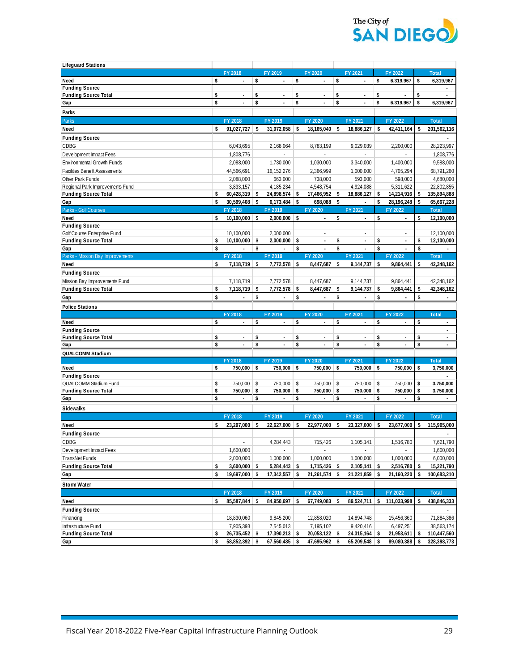

| <b>Lifeguard Stations</b>             |          |                 |            |                                    |            |                                  |          |                          |               |                                |          |                                |
|---------------------------------------|----------|-----------------|------------|------------------------------------|------------|----------------------------------|----------|--------------------------|---------------|--------------------------------|----------|--------------------------------|
|                                       |          | FY 2018         |            | FY 2019                            |            | FY 2020                          |          | FY 2021                  |               | FY 2022                        |          | <b>Total</b>                   |
| Need                                  | \$       | ä,              | \$         |                                    | \$         |                                  | \$       |                          | \$            | 6,319,967                      | \$       | 6,319,967                      |
| <b>Funding Source</b>                 |          |                 |            |                                    |            |                                  |          |                          |               |                                |          |                                |
| <b>Funding Source Total</b>           | \$       | ٠               | \$         | $\sim$                             | \$         | ٠                                | \$       | ×                        | \$            |                                | \$       |                                |
| Gap                                   | \$       | ×,              | \$         |                                    | \$         | ٠                                | \$       | ×,                       | \$            | 6,319,967                      | \$       | 6,319,967                      |
| Parks                                 |          |                 |            |                                    |            |                                  |          |                          |               |                                |          |                                |
| Parks                                 |          | FY 2018         |            | FY 2019                            |            | FY 2020                          |          | FY 2021                  |               | FY 2022                        |          | <b>Total</b>                   |
| Need                                  | \$       | 91,027,727      | $\vert$ \$ | 31,072,058 \$                      |            | 18,165,040                       | -S       | 18,886,127               | S.            | 42,411,164                     | \$       | 201,562,116                    |
| <b>Funding Source</b>                 |          |                 |            |                                    |            |                                  |          |                          |               |                                |          |                                |
| CDBG                                  |          | 6,043,695       |            | 2,168,064                          |            | 8,783,199                        |          | 9,029,039                |               | 2,200,000                      |          | 28,223,997                     |
| Development Impact Fees               |          | 1,808,776       |            | ÷.                                 |            | ä,                               |          | ä,                       |               | $\omega$                       |          | 1,808,776                      |
| Environmental Growth Funds            |          | 2,088,000       |            | 1.730.000                          |            | 1,030,000                        |          | 3,340,000                |               | 1,400,000                      |          | 9,588,000                      |
| <b>Facilities Benefit Assessments</b> |          | 44,566,691      |            | 16,152,276                         |            | 2,366,999                        |          | 1,000,000                |               | 4,705,294                      |          | 68,791,260                     |
| Other Park Funds                      |          | 2,088,000       |            | 663.000                            |            | 738,000                          |          | 593,000                  |               | 598,000                        |          | 4,680,000                      |
| Regional Park Improvements Fund       |          | 3,833,157       |            | 4,185,234                          |            | 4,548,754                        |          | 4,924,088                |               | 5,311,622                      |          | 22,802,855                     |
| <b>Funding Source Total</b>           | \$       | 60,428,319      | \$         | 24,898,574 \$                      |            | 17,466,952                       | \$       | 18,886,127               | -\$           | 14,214,916                     | \$       | 135,894,888                    |
| Gap                                   | \$       | $30,599,408$ \$ |            | $6,173,484$ \$                     |            | $698,088$ \$                     |          |                          | \$            | 28,196,248                     | \$       | 65,667,228                     |
| Parks - Golf Courses                  |          | FY 2018         |            | FY 2019                            |            | FY 2020                          |          | FY 2021                  |               | FY 2022                        |          | <b>Total</b>                   |
| Need                                  | s.       | $10,100,000$ \$ |            | 2,000,000 \$                       |            |                                  | \$       |                          | \$            |                                | \$       | 12,100,000                     |
| <b>Funding Source</b>                 |          |                 |            |                                    |            |                                  |          |                          |               |                                |          |                                |
| Golf Course Enterprise Fund           |          | 10,100,000      |            | 2,000,000                          |            | ä,                               |          | ÷,                       |               | ×.                             |          | 12,100,000                     |
| <b>Funding Source Total</b>           | \$       | 10,100,000      | \$         | $2,000,000$ \$                     |            | $\overline{\phantom{a}}$         | \$       | $\overline{\phantom{a}}$ | \$            | $\blacksquare$                 | \$       | 12,100,000                     |
| Gap                                   | \$       |                 | \$         |                                    | \$         |                                  | \$       |                          | \$            |                                | \$       |                                |
| Parks - Mission Bay Improvements      |          | FY 2018         |            | FY 2019                            |            | FY 2020                          |          | FY 2021                  |               | FY 2022                        |          | <b>Total</b>                   |
| Need                                  | \$       | $7,118,719$ \$  |            | $7,772,578$ \$                     |            | 8,447,687                        | -\$      | 9,144,737                | -\$           | 9,864,441                      | \$       | 42,348,162                     |
| <b>Funding Source</b>                 |          |                 |            |                                    |            |                                  |          |                          |               |                                |          |                                |
| Mission Bay Improvements Fund         |          | 7,118,719       |            | 7.772.578                          |            | 8,447,687                        |          | 9,144,737                |               | 9,864,441                      |          | 42,348,162                     |
| <b>Funding Source Total</b>           | \$       | 7,118,719       | $\vert$ \$ | $7,772,578$ \$                     |            | 8,447,687                        | \$       | 9,144,737                | \$            | 9,864,441                      | \$       | 42,348,162                     |
| Gap                                   | \$       |                 | \$         |                                    | \$         |                                  | \$       |                          | \$            |                                | \$       |                                |
|                                       |          |                 |            |                                    |            |                                  |          |                          |               |                                |          |                                |
|                                       |          |                 |            |                                    |            |                                  |          |                          |               |                                |          |                                |
| <b>Police Stations</b>                |          |                 |            |                                    |            |                                  |          |                          |               |                                |          |                                |
|                                       |          | FY 2018         |            | FY 2019                            |            | FY 2020                          |          | FY 2021                  |               | FY 2022                        |          | <b>Total</b>                   |
| Need                                  | \$       | ÷.              | \$         | ä,                                 | \$         | ÷.                               | \$       | ä,                       | \$            | $\mathcal{L}_{\mathcal{A}}$    | \$       | $\omega$                       |
| <b>Funding Source</b>                 |          | ÷,              |            |                                    |            | ä,                               |          | ×,                       |               |                                |          | ä,                             |
| <b>Funding Source Total</b><br>Gap    | \$<br>\$ | ×.              | \$<br>\$   | $\overline{\phantom{a}}$<br>$\sim$ | \$<br>\$   | ÷                                | \$<br>\$ |                          | \$<br>\$      | $\overline{\phantom{a}}$<br>÷. | \$<br>\$ | $\overline{\phantom{a}}$<br>÷. |
|                                       |          |                 |            |                                    |            |                                  |          |                          |               |                                |          |                                |
| QUALCOMM Stadium                      |          | FY 2018         |            | FY 2019                            |            | FY 2020                          |          | FY 2021                  |               | FY 2022                        |          | <b>Total</b>                   |
| Need                                  | s.       | $750,000$ \$    |            | 750,000 \$                         |            | 750,000 \$                       |          | 750,000 \$               |               | 750,000                        | \$       | 3,750,000                      |
| <b>Funding Source</b>                 |          |                 |            |                                    |            |                                  |          |                          |               |                                |          |                                |
| QUALCOMM Stadium Fund                 | \$       | 750,000         | \$         | 750,000                            | $\sqrt{2}$ | 750,000                          | \$       | 750,000                  | $\sqrt[6]{3}$ | 750,000                        | \$       | 3,750,000                      |
| <b>Funding Source Total</b>           | \$       | 750,000         | \$         | 750,000                            | \$         | 750,000                          | \$       | 750,000 \$               |               | 750,000                        | \$       | 3,750,000                      |
| Gap                                   | \$       | ä,              | \$         | ä,                                 | \$         | ä,                               | \$       | $\overline{\phantom{a}}$ | \$            |                                | \$       | ÷.                             |
|                                       |          |                 |            |                                    |            |                                  |          |                          |               |                                |          |                                |
| <b>Sidewalks</b>                      |          |                 |            |                                    |            |                                  |          |                          |               |                                |          |                                |
|                                       |          | FY 2018         |            | FY 2019                            |            | FY 2020                          |          | FY 2021                  |               | FY 2022                        |          | <b>Total</b>                   |
| Need                                  | S.       | 23,297,000      | ∣\$        | 22,627,000 \$                      |            | 22,977,000                       | -S       | 23,327,000               | -\$           | 23.677.000                     | s        | 115,905,000                    |
| <b>Funding Source</b>                 |          |                 |            |                                    |            |                                  |          |                          |               |                                |          |                                |
| CDBG                                  |          |                 |            | 4,284,443                          |            | 715,426                          |          | 1,105,141                |               | 1,516,780                      |          | 7,621,790                      |
| Development Impact Fees               |          | 1,600,000       |            |                                    |            |                                  |          |                          |               |                                |          | 1,600,000                      |
| TransNet Funds                        |          | 2,000,000       |            | 1,000,000                          |            | 1,000,000                        |          | 1,000,000                |               | 1,000,000                      |          | 6,000,000                      |
| <b>Funding Source Total</b>           | \$       | 3,600,000       | \$         | 5,284,443 \$                       |            | 1,715,426                        | \$       | 2,105,141                | \$            | 2,516,780                      |          | 15,221,790                     |
| Gap                                   | \$       | 19,697,000      | \$         | $17,342,557$ \$                    |            | 21,261,574                       | \$       | $21,221,859$ \$          |               | 21,160,220                     | \$       | 100,683,210                    |
| <b>Storm Water</b>                    |          |                 |            |                                    |            |                                  |          |                          |               |                                |          |                                |
|                                       |          | FY 2018         |            | FY 2019                            |            | FY 2020                          |          | FY 2021                  |               | FY 2022                        |          | <b>Total</b>                   |
| Need                                  | \$       | 85,587,844      | \$         | 84,950,697 \$                      |            | 67,749,083                       | s        | 89,524,711               | \$            | 111,033,998                    | \$       | 438,846,333                    |
| <b>Funding Source</b>                 |          |                 |            |                                    |            |                                  |          |                          |               |                                |          |                                |
| Financing                             |          | 18,830,060      |            | 9,845,200                          |            | 12,858,020                       |          | 14,894,748               |               | 15,456,360                     |          | 71,884,386                     |
| Infrastructure Fund                   |          | 7,905,393       |            | 7,545,013                          |            | 7,195,102                        |          | 9,420,416                |               | 6,497,251                      |          | 38,563,174                     |
| <b>Funding Source Total</b>           | \$       | 26,735,452 \$   |            | 17,390,213 \$                      |            | $20,053,122$ \$<br>47,695,962 \$ |          | $24,315,164$ \$          |               | 21,953,611                     | \$       | 110,447,560<br>328,398,773     |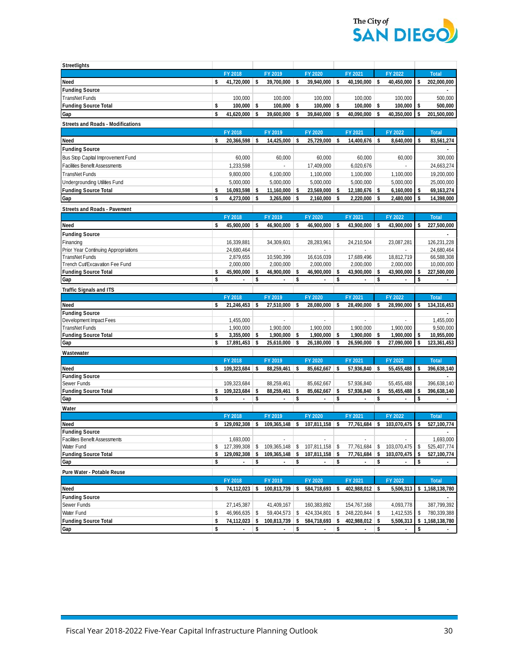

| Streetlights                             |               |                          |            |                                                  |     |                          |    |                 |     |                           |    |               |
|------------------------------------------|---------------|--------------------------|------------|--------------------------------------------------|-----|--------------------------|----|-----------------|-----|---------------------------|----|---------------|
|                                          |               | FY 2018                  |            | FY 2019                                          |     | FY 2020                  |    | FY 2021         |     | FY 2022                   |    | <b>Total</b>  |
| Need                                     | s.            | $41,720,000$ \$          |            | 39,700,000 \$                                    |     | 39,940,000 \$            |    | $40,190,000$ \$ |     | 40,450,000                | \$ | 202,000,000   |
| <b>Funding Source</b>                    |               |                          |            |                                                  |     |                          |    |                 |     |                           |    |               |
| TransNet Funds                           |               | 100,000                  |            | 100,000                                          |     | 100,000                  |    | 100,000         |     | 100,000                   |    | 500,000       |
| <b>Funding Source Total</b>              | \$            | 100,000                  | \$         | $100,000$ \$                                     |     | 100,000                  | \$ | $100,000$ \$    |     | 100,000                   | \$ | 500,000       |
| Gap                                      | \$            | 41,620,000               | \$         | 39,600,000                                       | \$  | 39,840,000               | \$ | 40,090,000      | \$  | 40,350,000                | \$ | 201,500,000   |
| <b>Streets and Roads - Modifications</b> |               |                          |            |                                                  |     |                          |    |                 |     |                           |    |               |
|                                          |               | FY 2018                  |            | FY 2019                                          |     | FY 2020                  |    | FY 2021         |     | FY 2022                   |    | <b>Total</b>  |
| Need                                     | \$            | 20,366,598               | \$         | 14,425,000 \$                                    |     | 25,729,000               | \$ | 14,400,676 \$   |     | 8,640,000                 | s  | 83,561,274    |
| <b>Funding Source</b>                    |               |                          |            |                                                  |     |                          |    |                 |     |                           |    |               |
| Bus Stop Capital Improvement Fund        |               | 60,000                   |            | 60,000                                           |     | 60,000                   |    | 60,000          |     | 60,000                    |    | 300,000       |
| Facilities Benefit Assessments           |               | 1,233,598                |            |                                                  |     | 17,409,000               |    | 6,020,676       |     |                           |    | 24,663,274    |
| TransNet Funds                           |               | 9,800,000                |            | 6,100,000                                        |     | 1,100,000                |    | 1,100,000       |     | 1,100,000                 |    | 19,200,000    |
| Undergrounding Utilities Fund            |               | 5,000,000                |            | 5,000,000                                        |     | 5,000,000                |    | 5,000,000       |     | 5,000,000                 |    | 25,000,000    |
| <b>Funding Source Total</b>              | \$            | $16,093,598$ \$          |            | $11,160,000$ \$                                  |     | 23,569,000               | S. | $12,180,676$ \$ |     | 6,160,000                 | \$ | 69,163,274    |
| Gap                                      | \$            | 4,273,000                | -\$        | $3,265,000$ \$                                   |     | $2,160,000$ \$           |    | 2,220,000 \$    |     | 2,480,000                 | \$ | 14,398,000    |
| <b>Streets and Roads - Pavement</b>      |               |                          |            |                                                  |     |                          |    |                 |     |                           |    |               |
|                                          |               | FY 2018                  |            | FY 2019                                          |     | FY 2020                  |    | FY 2021         |     | FY 2022                   |    | <b>Total</b>  |
| Need                                     | <sup>\$</sup> | 45,900,000 \$            |            | 46,900,000 \$                                    |     | $46,900,000$ \$          |    | 43,900,000      | -\$ | 43,900,000                | \$ | 227,500,000   |
| <b>Funding Source</b>                    |               |                          |            |                                                  |     |                          |    |                 |     |                           |    |               |
| Financing                                |               | 16,339,881               |            | 34,309,601                                       |     | 28,283,961               |    | 24,210,504      |     | 23,087,281                |    | 126,231,228   |
| Prior Year Continuing Appropriations     |               | 24,680,464               |            |                                                  |     |                          |    |                 |     |                           |    | 24,680,464    |
| TransNet Funds                           |               | 2,879,655                |            | 10,590,399                                       |     | 16,616,039               |    | 17,689,496      |     | 18,812,719                |    | 66,588,308    |
| Trench Cut/Excavation Fee Fund           |               | 2,000,000                |            | 2,000,000                                        |     | 2,000,000                |    | 2,000,000       |     | 2,000,000                 |    | 10,000,000    |
| <b>Funding Source Total</b>              | \$            | 45,900,000               | \$         | $46,900,000$ \$                                  |     | 46,900,000               | \$ | 43,900,000      | -\$ | 43,900,000                | \$ | 227,500,000   |
| Gap                                      | \$            |                          | \$         |                                                  | \$  |                          | \$ |                 | \$  |                           | \$ |               |
| <b>Traffic Signals and ITS</b>           |               |                          |            |                                                  |     |                          |    |                 |     |                           |    |               |
|                                          |               | FY 2018                  |            | FY 2019                                          |     | FY 2020                  |    | FY 2021         |     | FY 2022                   |    | <b>Total</b>  |
| Need<br><b>Funding Source</b>            | s             | 21,246,453               | \$         | $27,510,000$ \$                                  |     | 28,080,000               | 5  | 28,490,000      | -S  | 28,990,000                | \$ | 134,316,453   |
| Development Impact Fees                  |               | 1,455,000                |            |                                                  |     |                          |    |                 |     |                           |    | 1,455,000     |
| TransNet Funds                           |               | 1,900,000                |            | 1,900,000                                        |     | 1,900,000                |    | 1,900,000       |     | 1,900,000                 |    | 9,500,000     |
| <b>Funding Source Total</b>              | \$            | 3,355,000                | \$         | $1,900,000$ \$                                   |     | 1,900,000                | \$ | 1,900,000       | -\$ | 1,900,000                 | \$ | 10,955,000    |
| Gap                                      | Ŝ.            | 17,891,453               | $\vert$ \$ | 25,610,000                                       | -\$ | 26,180,000               | \$ | 26,590,000      | -S  | 27,090,000                | \$ | 123,361,453   |
| Wastewater                               |               |                          |            |                                                  |     |                          |    |                 |     |                           |    |               |
|                                          |               | FY 2018                  |            | FY 2019                                          |     | FY 2020                  |    | FY 2021         |     | FY 2022                   |    | <b>Total</b>  |
| Need                                     | s.            | 109,323,684 \$           |            | $88,259,461$ \$                                  |     | $85,662,667$ \$          |    | 57,936,840      | -S  | 55,455,488                | \$ | 396,638,140   |
| <b>Funding Source</b>                    |               |                          |            |                                                  |     |                          |    |                 |     |                           |    |               |
| Sewer Funds                              |               | 109,323,684              |            | 88,259,461                                       |     | 85,662,667               |    | 57,936,840      |     | 55,455,488                |    | 396,638,140   |
| <b>Funding Source Total</b>              | \$            | 109,323,684              | \$         | $88,259,461$ \$                                  |     | 85,662,667               | \$ | 57,936,840      | -\$ | 55,455,488                | \$ | 396,638,140   |
| Gap                                      | \$            | $\overline{a}$           | \$         | $\overline{a}$                                   | \$  | ÷                        | \$ | ÷.              | \$  |                           | \$ | ÷             |
| Water                                    |               |                          |            |                                                  |     |                          |    |                 |     |                           |    |               |
|                                          |               | FY 2018                  |            | FY 2019                                          |     | FY 2020                  |    | FY 2021         |     | FY 2022                   |    | <b>Total</b>  |
| Need                                     | \$            | 129,092,308 \$           |            | $109,365,148$ \$                                 |     | $107,811,158$ \$         |    | 77,761,684      | \$  | 103,070,475               | \$ | 527,100,774   |
| <b>Funding Source</b>                    |               |                          |            |                                                  |     |                          |    |                 |     |                           |    |               |
| <b>Facilities Benefit Assessments</b>    |               | 1.693.000                |            |                                                  |     |                          |    |                 |     |                           |    | 1,693,000     |
| Water Fund                               |               |                          |            | $$127,399,308$ $$109,365,148$ $$107,811,158$ $$$ |     |                          |    |                 |     | 77,761,684 \$ 103,070,475 | \$ | 525,407,774   |
| <b>Funding Source Total</b>              | \$            | 129,092,308 \$           |            | 109,365,148                                      | \$  | 107,811,158              | \$ | 77,761,684      | \$  | 103,070,475               | \$ | 527,100,774   |
| Gap                                      | \$            |                          | \$         |                                                  | \$  |                          | \$ |                 | \$  |                           | \$ |               |
| Pure Water - Potable Reuse               |               |                          |            |                                                  |     |                          |    |                 |     |                           |    |               |
|                                          |               | FY 2018                  |            | FY 2019                                          |     | FY 2020                  |    | FY 2021         |     | FY 2022                   |    | <b>Total</b>  |
| Need                                     | \$            | 74,112,023               | \$         | 100,813,739 \$                                   |     | 584,718,693              | \$ | 402,988,012     | -\$ | 5,506,313                 | \$ | 1,168,138,780 |
| <b>Funding Source</b>                    |               |                          |            |                                                  |     |                          |    |                 |     |                           |    |               |
| Sewer Funds                              |               | 27,145,387               |            | 41,409,167                                       |     | 160,383,892              |    | 154,767,168     |     | 4,093,778                 |    | 387,799,392   |
| Water Fund                               | \$            | $46,966,635$ \$          |            | 59,404,573 \$                                    |     | 424,334,801              | \$ | 248,220,844 \$  |     | 1,412,535                 | \$ | 780,339,388   |
| <b>Funding Source Total</b>              | \$            | $74,112,023$ \$          |            | 100,813,739 \$                                   |     | 584,718,693              | \$ | 402,988,012 \$  |     | 5,506,313                 | \$ | 1,168,138,780 |
| Gap                                      | \$            | $\overline{\phantom{a}}$ | \$         | $\overline{\phantom{a}}$                         | \$  | $\overline{\phantom{a}}$ | \$ |                 | \$  |                           | \$ |               |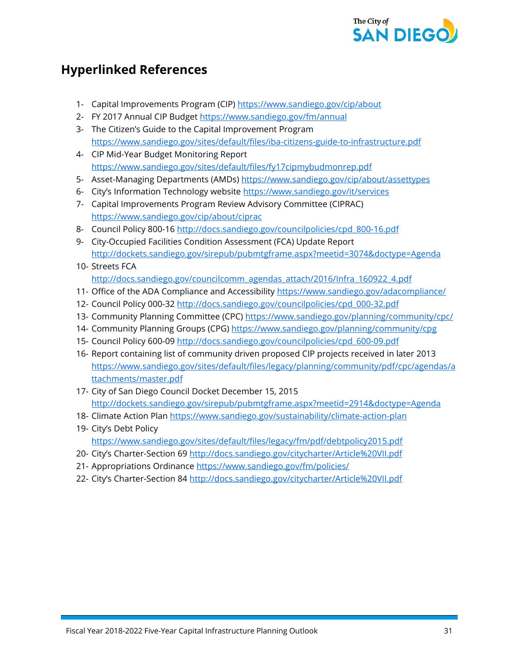

## **Hyperlinked References**

- 1- Capital Improvements Program (CIP) <https://www.sandiego.gov/cip/about>
- 2- FY 2017 Annual CIP Budget<https://www.sandiego.gov/fm/annual>
- 3- The Citizen's Guide to the Capital Improvement Program <https://www.sandiego.gov/sites/default/files/iba-citizens-guide-to-infrastructure.pdf>
- 4- CIP Mid-Year Budget Monitoring Report <https://www.sandiego.gov/sites/default/files/fy17cipmybudmonrep.pdf>
- 5- Asset-Managing Departments (AMDs)<https://www.sandiego.gov/cip/about/assettypes>
- 6- City's Information Technology website<https://www.sandiego.gov/it/services>
- 7- Capital Improvements Program Review Advisory Committee (CIPRAC) <https://www.sandiego.gov/cip/about/ciprac>
- 8- Council Policy 800-16 [http://docs.sandiego.gov/councilpolicies/cpd\\_800-16.pdf](http://docs.sandiego.gov/councilpolicies/cpd_800-16.pdf)
- 9- City-Occupied Facilities Condition Assessment (FCA) Update Report <http://dockets.sandiego.gov/sirepub/pubmtgframe.aspx?meetid=3074&doctype=Agenda>
- 10- Streets FCA [http://docs.sandiego.gov/councilcomm\\_agendas\\_attach/2016/Infra\\_160922\\_4.pdf](http://docs.sandiego.gov/councilcomm_agendas_attach/2016/Infra_160922_4.pdf)
- 11- Office of the ADA Compliance and Accessibility<https://www.sandiego.gov/adacompliance/>
- 12- Council Policy 000-32 [http://docs.sandiego.gov/councilpolicies/cpd\\_000-32.pdf](http://docs.sandiego.gov/councilpolicies/cpd_000-32.pdf)
- 13- Community Planning Committee (CPC)<https://www.sandiego.gov/planning/community/cpc/>
- 14- Community Planning Groups (CPG)<https://www.sandiego.gov/planning/community/cpg>
- 15- Council Policy 600-09 [http://docs.sandiego.gov/councilpolicies/cpd\\_600-09.pdf](http://docs.sandiego.gov/councilpolicies/cpd_600-09.pdf)
- 16- Report containing list of community driven proposed CIP projects received in later 2013 [https://www.sandiego.gov/sites/default/files/legacy/planning/community/pdf/cpc/agendas/a](https://www.sandiego.gov/sites/default/files/legacy/planning/community/pdf/cpc/agendas/attachments/master.pdf) [ttachments/master.pdf](https://www.sandiego.gov/sites/default/files/legacy/planning/community/pdf/cpc/agendas/attachments/master.pdf)
- 17- City of San Diego Council Docket December 15, 2015 <http://dockets.sandiego.gov/sirepub/pubmtgframe.aspx?meetid=2914&doctype=Agenda>
- 18- Climate Action Plan<https://www.sandiego.gov/sustainability/climate-action-plan>
- 19- City's Debt Policy <https://www.sandiego.gov/sites/default/files/legacy/fm/pdf/debtpolicy2015.pdf>
- 20- City's Charter-Section 6[9 http://docs.sandiego.gov/citycharter/Article%20VII.pdf](http://docs.sandiego.gov/citycharter/Article%20VII.pdf)
- 21- Appropriations Ordinance<https://www.sandiego.gov/fm/policies/>
- 22- City's Charter-Section 8[4 http://docs.sandiego.gov/citycharter/Article%20VII.pdf](http://docs.sandiego.gov/citycharter/Article%20VII.pdf)